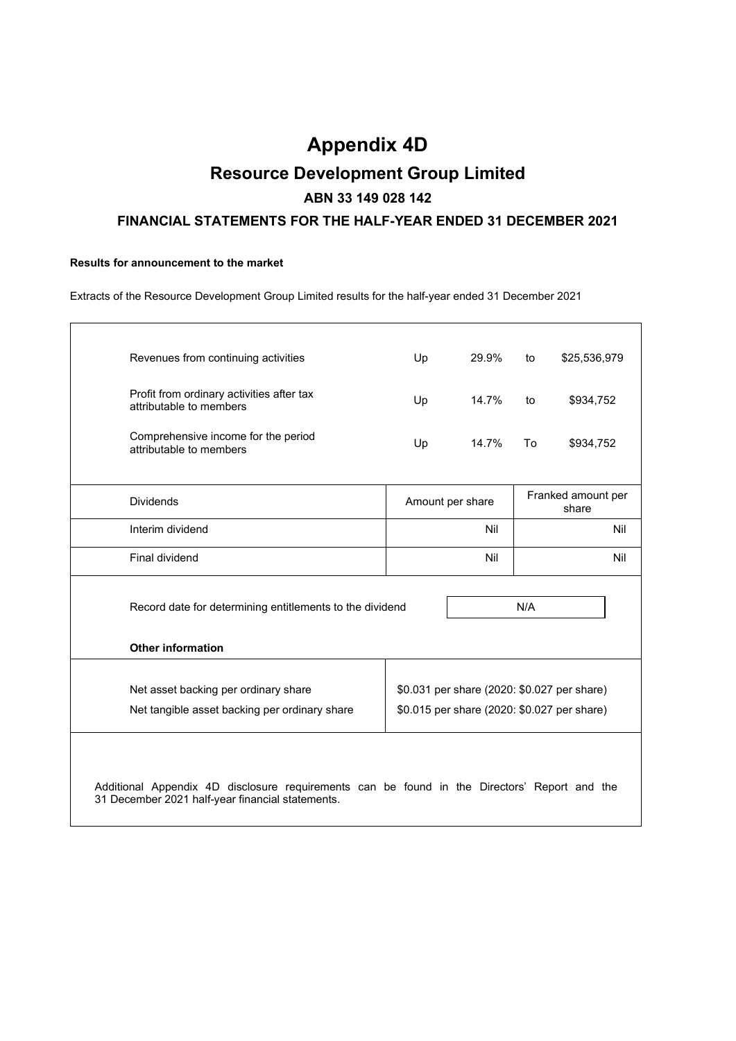# **Appendix 4D Resource Development Group Limited ABN 33 149 028 142**

## **FINANCIAL STATEMENTS FOR THE HALF-YEAR ENDED 31 DECEMBER 2021**

### **Results for announcement to the market**

Extracts of the Resource Development Group Limited results for the half-year ended 31 December 2021

| Revenues from continuing activities                                                                                                              | Up               | 29.9%                                                                                      | to  | \$25,536,979                |
|--------------------------------------------------------------------------------------------------------------------------------------------------|------------------|--------------------------------------------------------------------------------------------|-----|-----------------------------|
| Profit from ordinary activities after tax<br>attributable to members                                                                             | Up               | 14.7%                                                                                      | to  | \$934,752                   |
| Comprehensive income for the period<br>attributable to members                                                                                   | Up               | 14.7%                                                                                      | To  | \$934,752                   |
| <b>Dividends</b>                                                                                                                                 | Amount per share |                                                                                            |     | Franked amount per<br>share |
| Interim dividend                                                                                                                                 |                  | Nil                                                                                        |     | Nil                         |
| Final dividend                                                                                                                                   |                  | Nil                                                                                        |     | Nil                         |
| Record date for determining entitlements to the dividend                                                                                         |                  |                                                                                            | N/A |                             |
| <b>Other information</b>                                                                                                                         |                  |                                                                                            |     |                             |
| Net asset backing per ordinary share<br>Net tangible asset backing per ordinary share                                                            |                  | \$0.031 per share (2020: \$0.027 per share)<br>\$0.015 per share (2020: \$0.027 per share) |     |                             |
| Additional Appendix 4D disclosure requirements can be found in the Directors' Report and the<br>31 December 2021 half-year financial statements. |                  |                                                                                            |     |                             |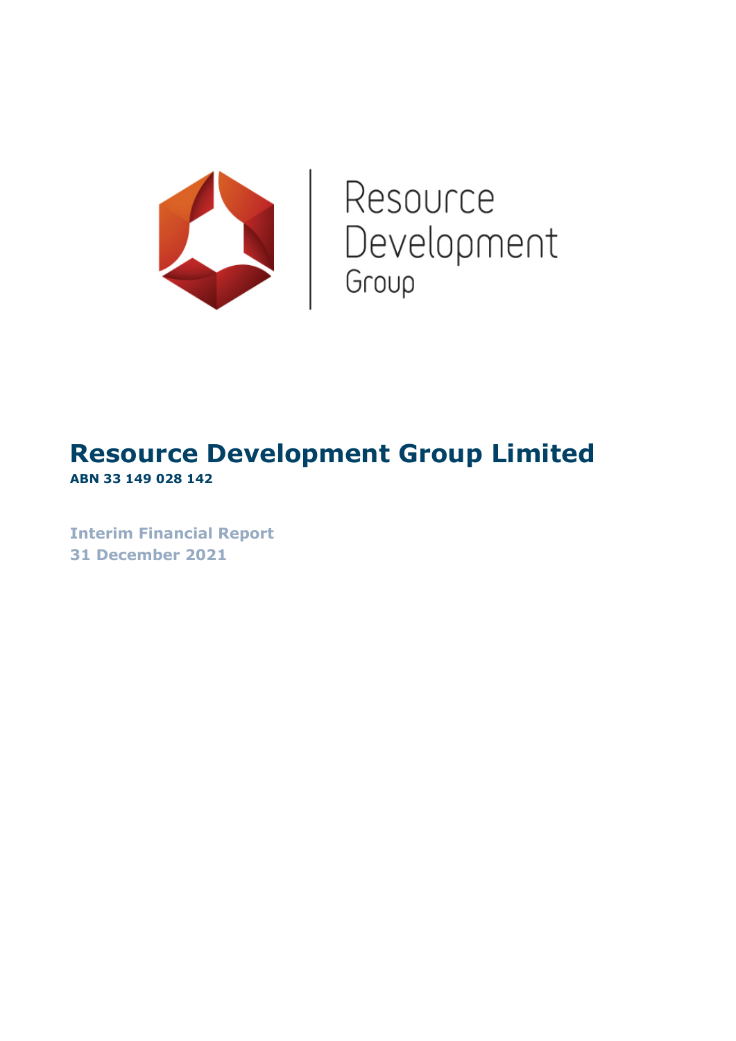

Resource<br>Development<br>Group

# **Resource Development Group Limited ABN 33 149 028 142**

**Interim Financial Report 31 December 2021**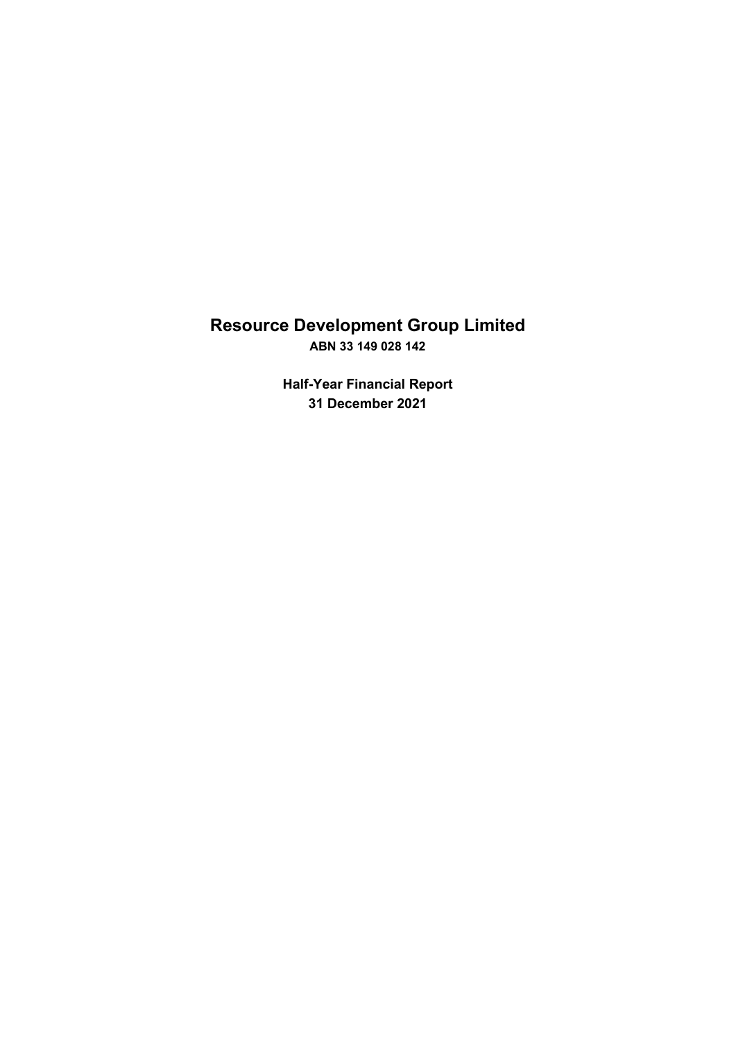# **Resource Development Group Limited ABN 33 149 028 142**

**Half-Year Financial Report 31 December 2021**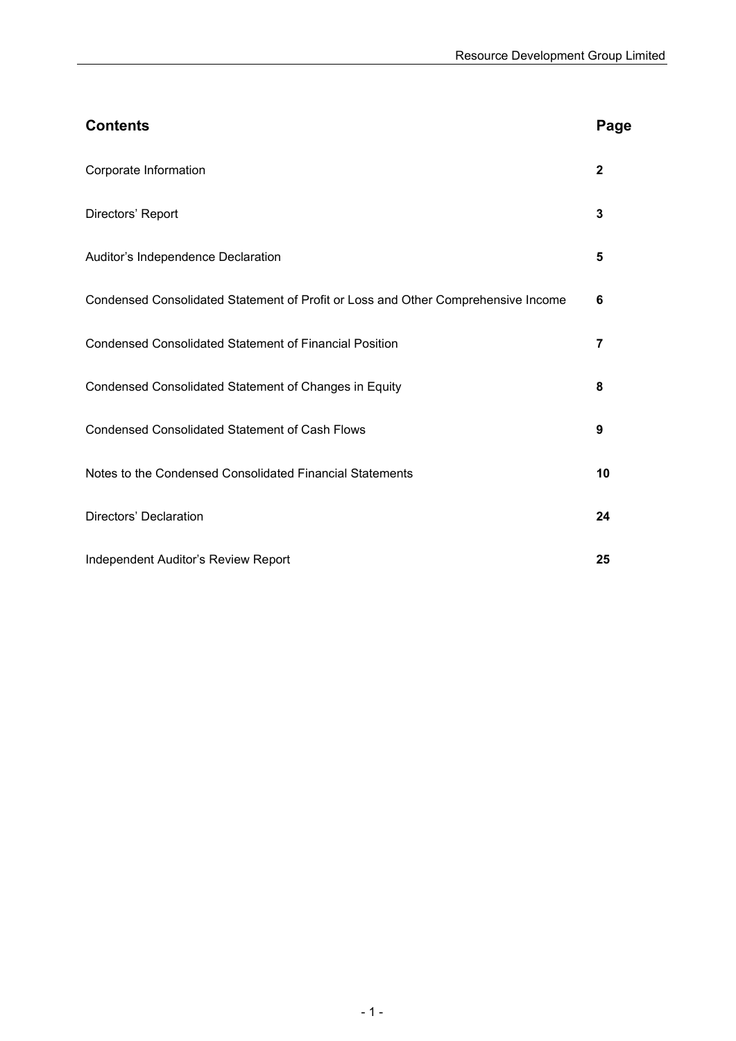| <b>Contents</b>                                                                   | Page         |
|-----------------------------------------------------------------------------------|--------------|
| Corporate Information                                                             | $\mathbf{2}$ |
| Directors' Report                                                                 | 3            |
| Auditor's Independence Declaration                                                | 5            |
| Condensed Consolidated Statement of Profit or Loss and Other Comprehensive Income | 6            |
| <b>Condensed Consolidated Statement of Financial Position</b>                     | 7            |
| Condensed Consolidated Statement of Changes in Equity                             | 8            |
| <b>Condensed Consolidated Statement of Cash Flows</b>                             | 9            |
| Notes to the Condensed Consolidated Financial Statements                          | 10           |
| Directors' Declaration                                                            | 24           |
| Independent Auditor's Review Report                                               | 25           |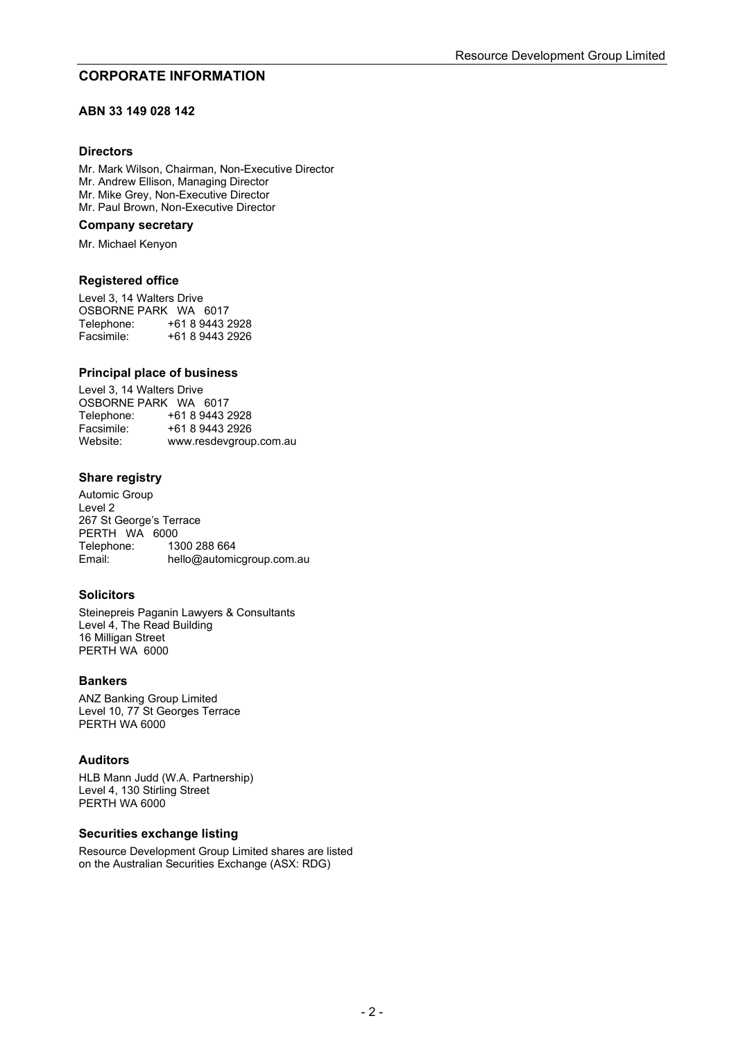## **CORPORATE INFORMATION**

### **ABN 33 149 028 142**

### **Directors**

Mr. Mark Wilson, Chairman, Non-Executive Director Mr. Andrew Ellison, Managing Director Mr. Mike Grey, Non-Executive Director Mr. Paul Brown, Non-Executive Director

### **Company secretary**

Mr. Michael Kenyon

#### **Registered office**

Level 3, 14 Walters Drive OSBORNE PARK WA 6017<br>Telephone: +61 8 9443 2 Telephone: +61 8 9443 2928<br>Facsimile: +61 8 9443 2926 Facsimile: +61 8 9443 2926

### **Principal place of business**

Level 3, 14 Walters Drive OSBORNE PARK WA 6017<br>Telephone: +61 8 9443 2 Telephone: +61 8 9443 2928<br>Facsimile: +61 8 9443 2926 Facsimile: +61 8 9443 2926<br>Website: www.resdevgroup www.resdevgroup.com.au

### **Share registry**

Automic Group Level 2 267 St George's Terrace PERTH WA 6000<br>Telephone: 13 Telephone: 1300 288 664<br>Email: hello@automi hello@automicgroup.com.au

### **Solicitors**

Steinepreis Paganin Lawyers & Consultants Level 4, The Read Building 16 Milligan Street PERTH WA 6000

#### **Bankers**

ANZ Banking Group Limited Level 10, 77 St Georges Terrace PERTH WA 6000

#### **Auditors**

HLB Mann Judd (W.A. Partnership) Level 4, 130 Stirling Street PERTH WA 6000

### **Securities exchange listing**

Resource Development Group Limited shares are listed on the Australian Securities Exchange (ASX: RDG)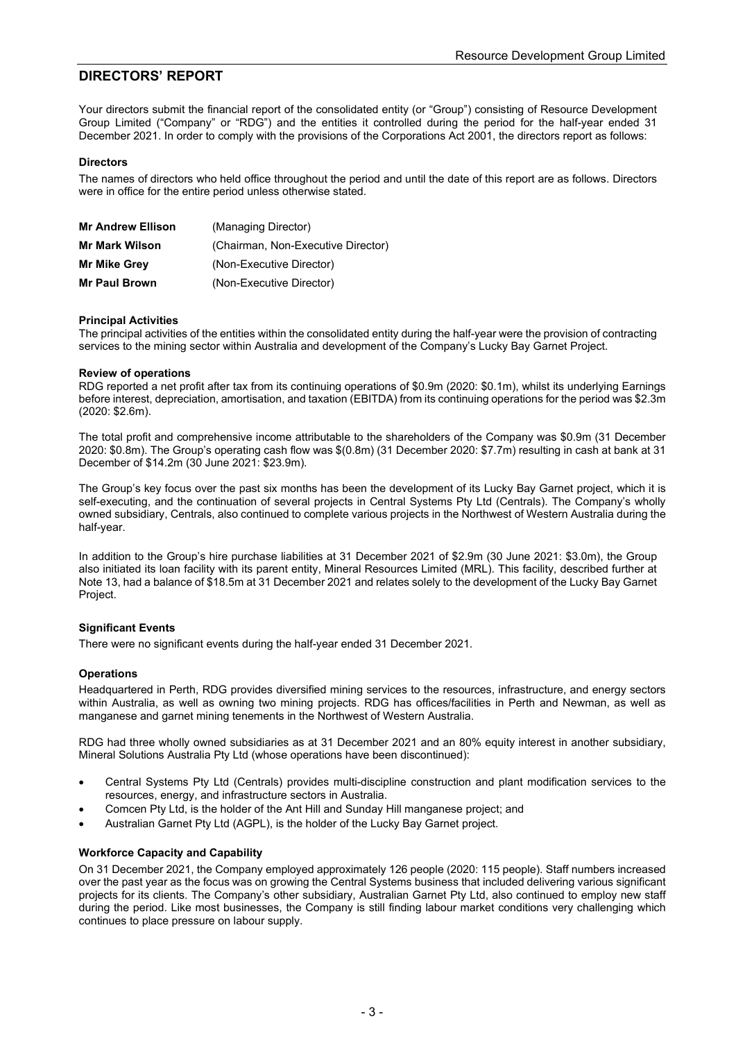# **DIRECTORS' REPORT**

Your directors submit the financial report of the consolidated entity (or "Group") consisting of Resource Development Group Limited ("Company" or "RDG") and the entities it controlled during the period for the half-year ended 31 December 2021. In order to comply with the provisions of the Corporations Act 2001, the directors report as follows:

#### **Directors**

The names of directors who held office throughout the period and until the date of this report are as follows. Directors were in office for the entire period unless otherwise stated.

| <b>Mr Andrew Ellison</b> | (Managing Director)                |
|--------------------------|------------------------------------|
| <b>Mr Mark Wilson</b>    | (Chairman, Non-Executive Director) |
| <b>Mr Mike Grey</b>      | (Non-Executive Director)           |
| <b>Mr Paul Brown</b>     | (Non-Executive Director)           |

#### **Principal Activities**

The principal activities of the entities within the consolidated entity during the half-year were the provision of contracting services to the mining sector within Australia and development of the Company's Lucky Bay Garnet Project.

#### **Review of operations**

RDG reported a net profit after tax from its continuing operations of \$0.9m (2020: \$0.1m), whilst its underlying Earnings before interest, depreciation, amortisation, and taxation (EBITDA) from its continuing operations for the period was \$2.3m (2020: \$2.6m).

The total profit and comprehensive income attributable to the shareholders of the Company was \$0.9m (31 December 2020: \$0.8m). The Group's operating cash flow was \$(0.8m) (31 December 2020: \$7.7m) resulting in cash at bank at 31 December of \$14.2m (30 June 2021: \$23.9m).

The Group's key focus over the past six months has been the development of its Lucky Bay Garnet project, which it is self-executing, and the continuation of several projects in Central Systems Pty Ltd (Centrals). The Company's wholly owned subsidiary, Centrals, also continued to complete various projects in the Northwest of Western Australia during the half-year.

In addition to the Group's hire purchase liabilities at 31 December 2021 of \$2.9m (30 June 2021: \$3.0m), the Group also initiated its loan facility with its parent entity, Mineral Resources Limited (MRL). This facility, described further at Note 13, had a balance of \$18.5m at 31 December 2021 and relates solely to the development of the Lucky Bay Garnet Project.

### **Significant Events**

There were no significant events during the half-year ended 31 December 2021.

#### **Operations**

Headquartered in Perth, RDG provides diversified mining services to the resources, infrastructure, and energy sectors within Australia, as well as owning two mining projects. RDG has offices/facilities in Perth and Newman, as well as manganese and garnet mining tenements in the Northwest of Western Australia.

RDG had three wholly owned subsidiaries as at 31 December 2021 and an 80% equity interest in another subsidiary, Mineral Solutions Australia Pty Ltd (whose operations have been discontinued):

- Central Systems Pty Ltd (Centrals) provides multi-discipline construction and plant modification services to the resources, energy, and infrastructure sectors in Australia.
- Comcen Pty Ltd, is the holder of the Ant Hill and Sunday Hill manganese project; and
- Australian Garnet Pty Ltd (AGPL), is the holder of the Lucky Bay Garnet project.

### **Workforce Capacity and Capability**

On 31 December 2021, the Company employed approximately 126 people (2020: 115 people). Staff numbers increased over the past year as the focus was on growing the Central Systems business that included delivering various significant projects for its clients. The Company's other subsidiary, Australian Garnet Pty Ltd, also continued to employ new staff during the period. Like most businesses, the Company is still finding labour market conditions very challenging which continues to place pressure on labour supply.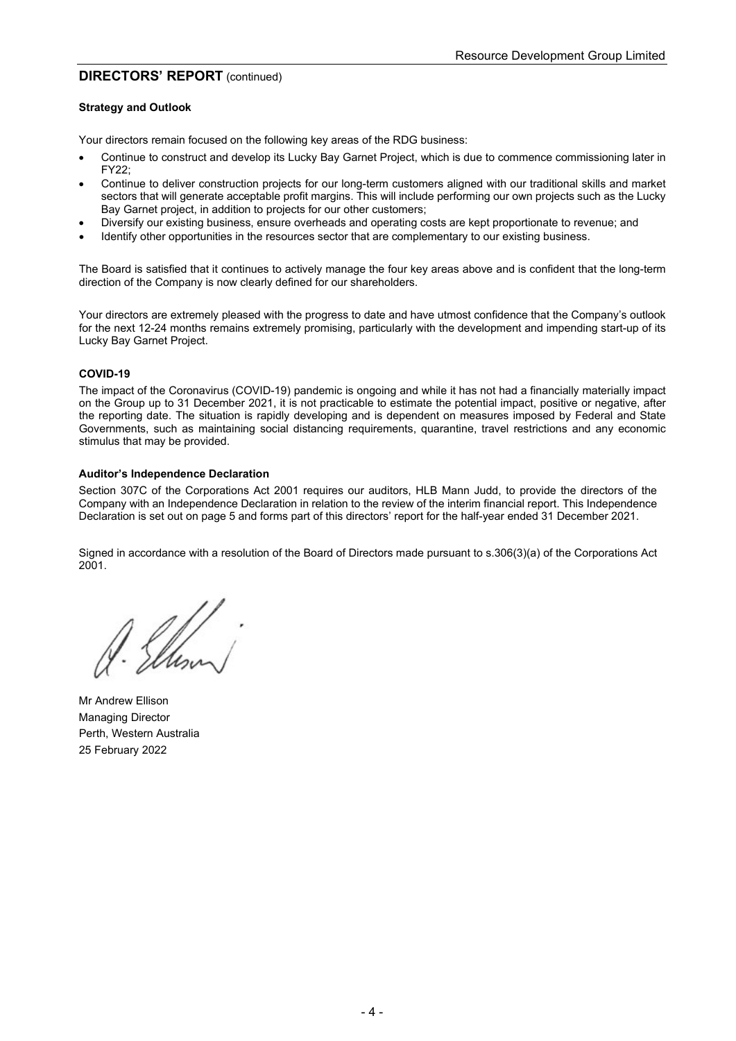## **DIRECTORS' REPORT** (continued)

#### **Strategy and Outlook**

Your directors remain focused on the following key areas of the RDG business:

- Continue to construct and develop its Lucky Bay Garnet Project, which is due to commence commissioning later in FY22;
- Continue to deliver construction projects for our long-term customers aligned with our traditional skills and market sectors that will generate acceptable profit margins. This will include performing our own projects such as the Lucky Bay Garnet project, in addition to projects for our other customers;
- Diversify our existing business, ensure overheads and operating costs are kept proportionate to revenue; and
- Identify other opportunities in the resources sector that are complementary to our existing business.

The Board is satisfied that it continues to actively manage the four key areas above and is confident that the long-term direction of the Company is now clearly defined for our shareholders.

Your directors are extremely pleased with the progress to date and have utmost confidence that the Company's outlook for the next 12-24 months remains extremely promising, particularly with the development and impending start-up of its Lucky Bay Garnet Project.

### **COVID-19**

The impact of the Coronavirus (COVID-19) pandemic is ongoing and while it has not had a financially materially impact on the Group up to 31 December 2021, it is not practicable to estimate the potential impact, positive or negative, after the reporting date. The situation is rapidly developing and is dependent on measures imposed by Federal and State Governments, such as maintaining social distancing requirements, quarantine, travel restrictions and any economic stimulus that may be provided.

#### **Auditor's Independence Declaration**

Section 307C of the Corporations Act 2001 requires our auditors, HLB Mann Judd, to provide the directors of the Company with an Independence Declaration in relation to the review of the interim financial report. This Independence Declaration is set out on page 5 and forms part of this directors' report for the half-year ended 31 December 2021.

Signed in accordance with a resolution of the Board of Directors made pursuant to s.306(3)(a) of the Corporations Act 2001.

Ellin

Mr Andrew Ellison Managing Director Perth, Western Australia 25 February 2022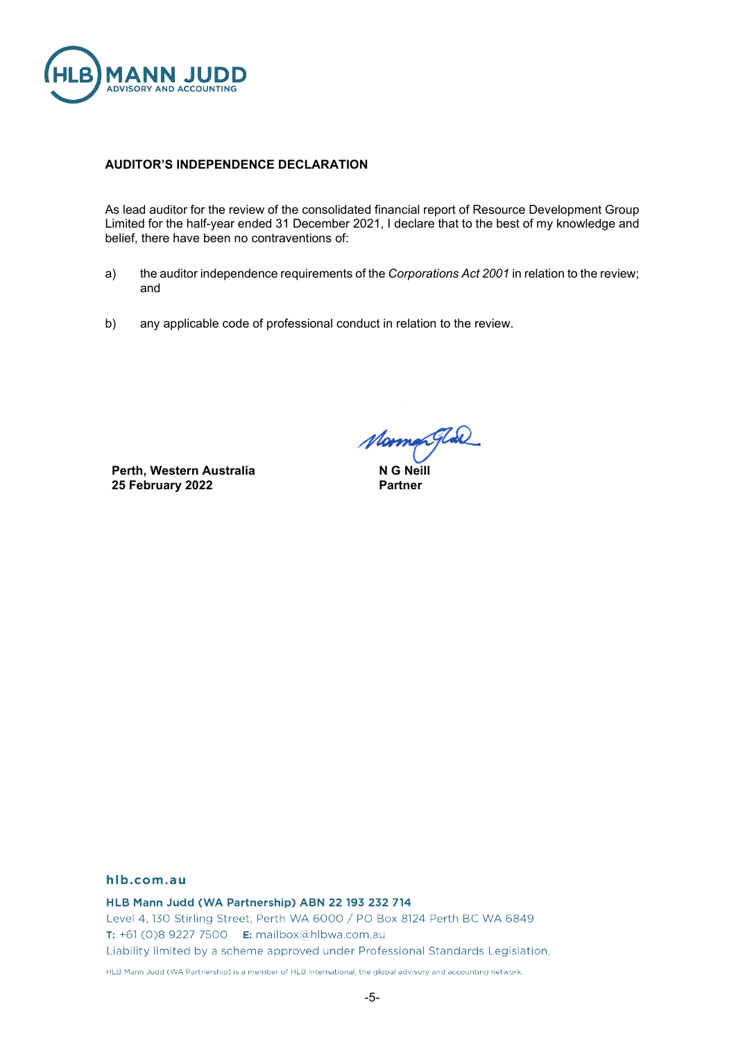

### **AUDITOR'S INDEPENDENCE DECLARATION**

As lead auditor for the review of the consolidated financial report of Resource Development Group Limited for the half-year ended 31 December 2021, I declare that to the best of my knowledge and belief, there have been no contraventions of:

- a) the auditor independence requirements of the *Corporations Act 2001* in relation to the review; and
- b) any applicable code of professional conduct in relation to the review.

**Perth, Western Australia 25 February 2022**

*Morman Glal*<br>NG Neill

**Partner**

### hlb.com.au

HLB Mann Judd (WA Partnership) ABN 22 193 232 714 Level 4, 130 Stirling Street, Perth WA 6000 / PO Box 8124 Perth BC WA 6849 T: +61 (0)8 9227 7500 E: mailbox@hlbwa.com.au Liability limited by a scheme approved under Professional Standards Legislation.

HLB Mann Judd (WA Partnership) is a member of HLB International, the global advisory and accounting network.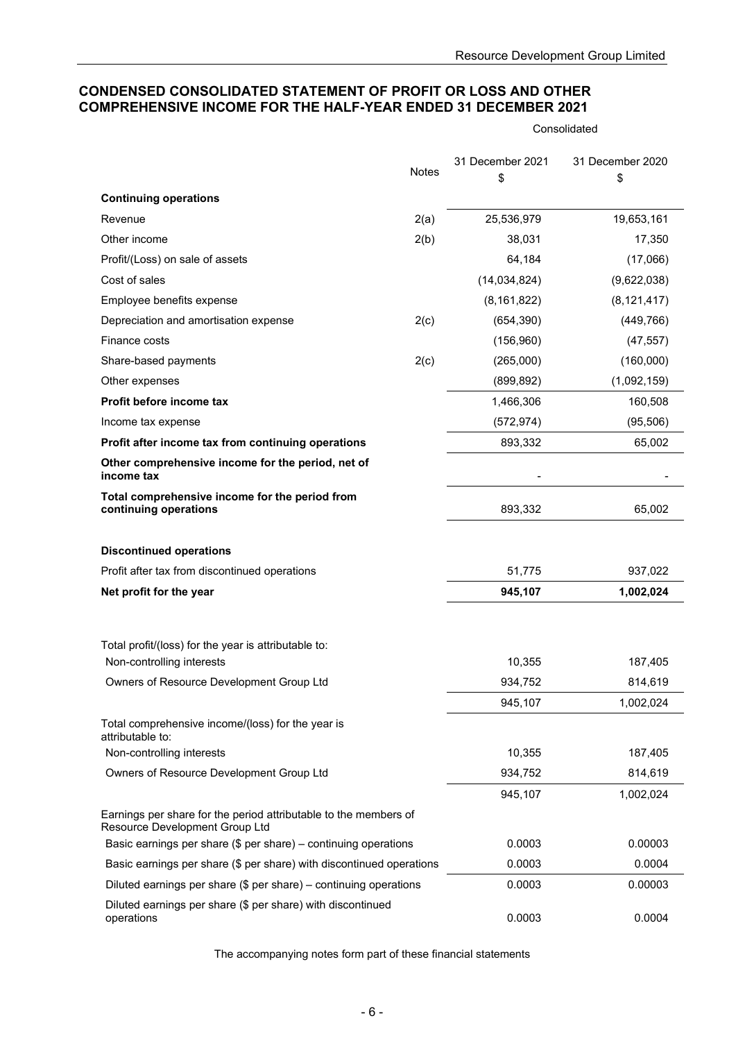## **CONDENSED CONSOLIDATED STATEMENT OF PROFIT OR LOSS AND OTHER COMPREHENSIVE INCOME FOR THE HALF-YEAR ENDED 31 DECEMBER 2021**

Consolidated

|                                                                                                    | <b>Notes</b> | 31 December 2021<br>\$ | 31 December 2020<br>\$ |
|----------------------------------------------------------------------------------------------------|--------------|------------------------|------------------------|
| <b>Continuing operations</b>                                                                       |              |                        |                        |
| Revenue                                                                                            | 2(a)         | 25,536,979             | 19,653,161             |
| Other income                                                                                       | 2(b)         | 38,031                 | 17,350                 |
| Profit/(Loss) on sale of assets                                                                    |              | 64,184                 | (17,066)               |
| Cost of sales                                                                                      |              | (14,034,824)           | (9,622,038)            |
| Employee benefits expense                                                                          |              | (8, 161, 822)          | (8, 121, 417)          |
| Depreciation and amortisation expense                                                              | 2(c)         | (654, 390)             | (449, 766)             |
| Finance costs                                                                                      |              | (156,960)              | (47, 557)              |
| Share-based payments                                                                               | 2(c)         | (265,000)              | (160,000)              |
| Other expenses                                                                                     |              | (899, 892)             | (1,092,159)            |
| Profit before income tax                                                                           |              | 1,466,306              | 160,508                |
| Income tax expense                                                                                 |              | (572, 974)             | (95, 506)              |
| Profit after income tax from continuing operations                                                 |              | 893,332                | 65,002                 |
| Other comprehensive income for the period, net of<br>income tax                                    |              |                        |                        |
| Total comprehensive income for the period from<br>continuing operations                            |              | 893,332                | 65,002                 |
|                                                                                                    |              |                        |                        |
| <b>Discontinued operations</b>                                                                     |              |                        |                        |
| Profit after tax from discontinued operations                                                      |              | 51,775                 | 937,022                |
| Net profit for the year                                                                            |              | 945,107                | 1,002,024              |
|                                                                                                    |              |                        |                        |
| Total profit/(loss) for the year is attributable to:<br>Non-controlling interests                  |              | 10,355                 | 187,405                |
| Owners of Resource Development Group Ltd                                                           |              | 934,752                | 814,619                |
|                                                                                                    |              | 945,107                | 1,002,024              |
| Total comprehensive income/(loss) for the year is<br>attributable to:                              |              |                        |                        |
| Non-controlling interests                                                                          |              | 10,355                 | 187,405                |
| Owners of Resource Development Group Ltd                                                           |              | 934,752                | 814,619                |
|                                                                                                    |              | 945,107                | 1,002,024              |
| Earnings per share for the period attributable to the members of<br>Resource Development Group Ltd |              |                        |                        |
| Basic earnings per share $($$ per share) – continuing operations                                   |              | 0.0003                 | 0.00003                |
| Basic earnings per share (\$ per share) with discontinued operations                               |              | 0.0003                 | 0.0004                 |
| Diluted earnings per share (\$ per share) – continuing operations                                  |              | 0.0003                 | 0.00003                |
| Diluted earnings per share (\$ per share) with discontinued<br>operations                          |              | 0.0003                 | 0.0004                 |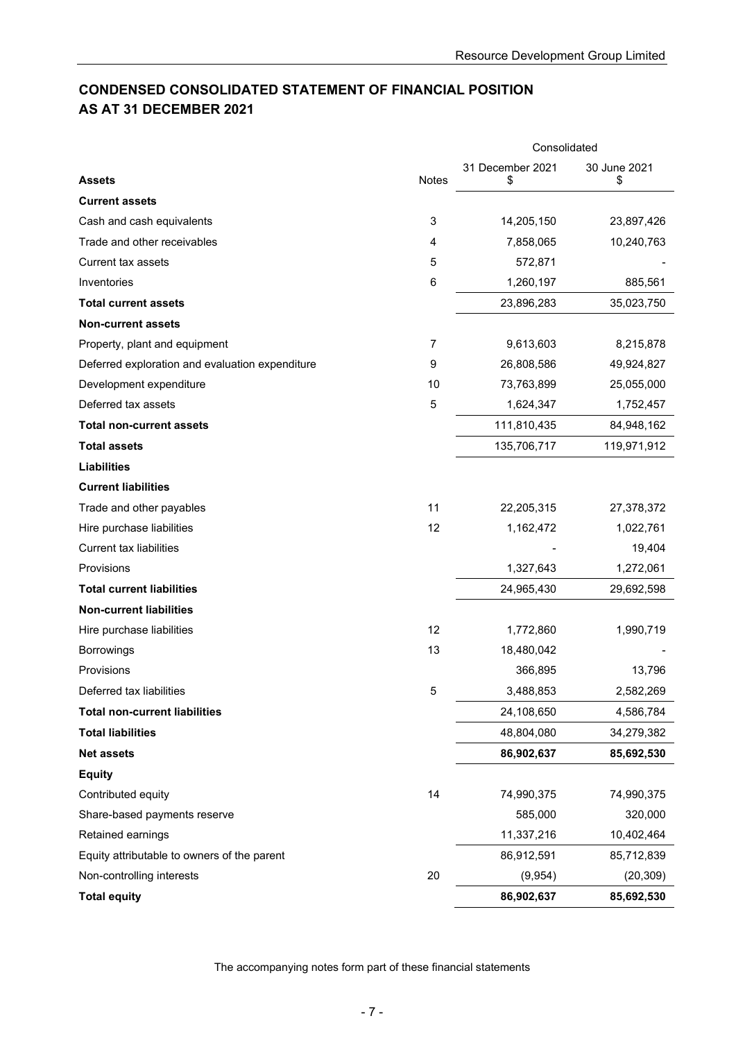# **CONDENSED CONSOLIDATED STATEMENT OF FINANCIAL POSITION AS AT 31 DECEMBER 2021**

|                                                 | Consolidated   |                        |                    |
|-------------------------------------------------|----------------|------------------------|--------------------|
| <b>Assets</b>                                   | Notes          | 31 December 2021<br>\$ | 30 June 2021<br>\$ |
| <b>Current assets</b>                           |                |                        |                    |
| Cash and cash equivalents                       | 3              | 14,205,150             | 23,897,426         |
| Trade and other receivables                     | 4              | 7,858,065              | 10,240,763         |
| <b>Current tax assets</b>                       | 5              | 572,871                |                    |
| Inventories                                     | 6              | 1,260,197              | 885,561            |
| <b>Total current assets</b>                     |                | 23,896,283             | 35,023,750         |
| <b>Non-current assets</b>                       |                |                        |                    |
| Property, plant and equipment                   | $\overline{7}$ | 9,613,603              | 8,215,878          |
| Deferred exploration and evaluation expenditure | 9              | 26,808,586             | 49,924,827         |
| Development expenditure                         | 10             | 73,763,899             | 25,055,000         |
| Deferred tax assets                             | 5              | 1,624,347              | 1,752,457          |
| <b>Total non-current assets</b>                 |                | 111,810,435            | 84,948,162         |
| <b>Total assets</b>                             |                | 135,706,717            | 119,971,912        |
| <b>Liabilities</b>                              |                |                        |                    |
| <b>Current liabilities</b>                      |                |                        |                    |
| Trade and other payables                        | 11             | 22,205,315             | 27,378,372         |
| Hire purchase liabilities                       | 12             | 1,162,472              | 1,022,761          |
| <b>Current tax liabilities</b>                  |                |                        | 19,404             |
| Provisions                                      |                | 1,327,643              | 1,272,061          |
| <b>Total current liabilities</b>                |                | 24,965,430             | 29,692,598         |
| <b>Non-current liabilities</b>                  |                |                        |                    |
| Hire purchase liabilities                       | 12             | 1,772,860              | 1,990,719          |
| <b>Borrowings</b>                               | 13             | 18,480,042             |                    |
| Provisions                                      |                | 366,895                | 13,796             |
| Deferred tax liabilities                        | 5              | 3,488,853              | 2,582,269          |
| <b>Total non-current liabilities</b>            |                | 24,108,650             | 4,586,784          |
| <b>Total liabilities</b>                        |                | 48,804,080             | 34,279,382         |
| <b>Net assets</b>                               |                | 86,902,637             | 85,692,530         |
| <b>Equity</b>                                   |                |                        |                    |
| Contributed equity                              | 14             | 74,990,375             | 74,990,375         |
| Share-based payments reserve                    |                | 585,000                | 320,000            |
| Retained earnings                               |                | 11,337,216             | 10,402,464         |
| Equity attributable to owners of the parent     |                | 86,912,591             | 85,712,839         |
| Non-controlling interests                       | 20             | (9,954)                | (20, 309)          |
| <b>Total equity</b>                             |                | 86,902,637             | 85,692,530         |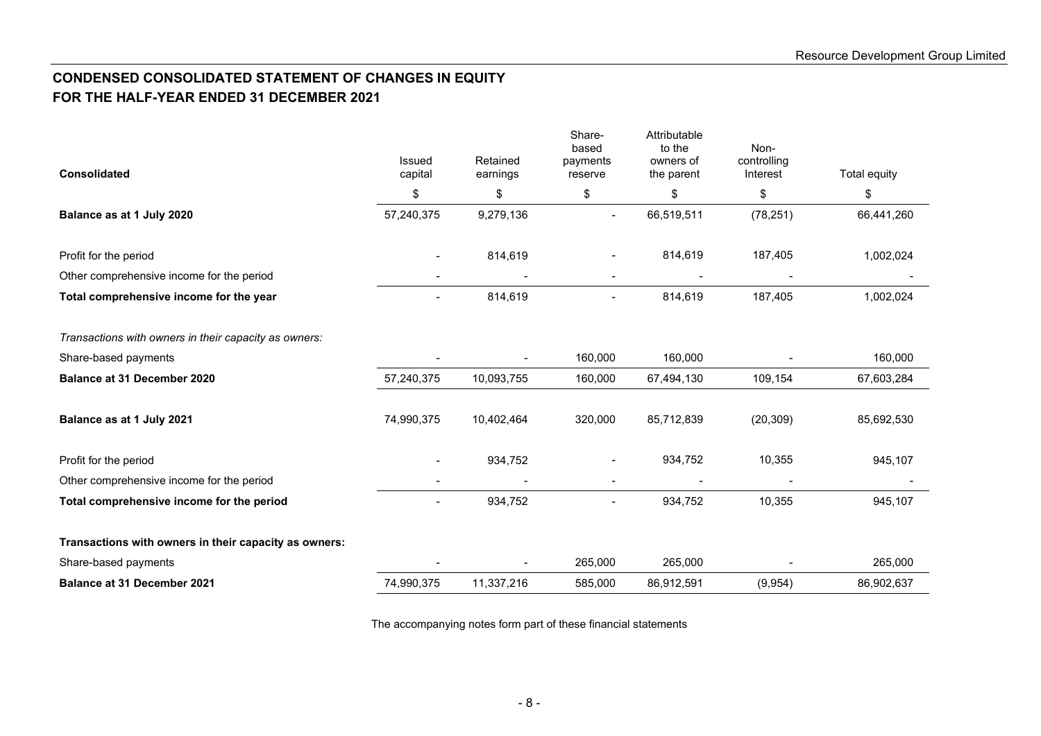# **CONDENSED CONSOLIDATED STATEMENT OF CHANGES IN EQUITY FOR THE HALF-YEAR ENDED 31 DECEMBER 2021**

| <b>Consolidated</b>                                   | <b>Issued</b><br>capital | Retained<br>earnings | Share-<br>based<br>payments<br>reserve | Attributable<br>to the<br>owners of<br>the parent | Non-<br>controlling<br>Interest | Total equity |
|-------------------------------------------------------|--------------------------|----------------------|----------------------------------------|---------------------------------------------------|---------------------------------|--------------|
|                                                       | \$                       | \$                   | \$                                     | \$                                                | \$                              | \$           |
| Balance as at 1 July 2020                             | 57,240,375               | 9,279,136            |                                        | 66,519,511                                        | (78, 251)                       | 66,441,260   |
| Profit for the period                                 |                          | 814,619              |                                        | 814,619                                           | 187,405                         | 1,002,024    |
| Other comprehensive income for the period             |                          |                      |                                        |                                                   |                                 |              |
| Total comprehensive income for the year               |                          | 814,619              |                                        | 814,619                                           | 187,405                         | 1,002,024    |
| Transactions with owners in their capacity as owners: |                          |                      |                                        |                                                   |                                 |              |
| Share-based payments                                  |                          |                      | 160,000                                | 160,000                                           |                                 | 160,000      |
| <b>Balance at 31 December 2020</b>                    | 57,240,375               | 10,093,755           | 160,000                                | 67,494,130                                        | 109,154                         | 67,603,284   |
| Balance as at 1 July 2021                             | 74,990,375               | 10,402,464           | 320,000                                | 85,712,839                                        | (20, 309)                       | 85,692,530   |
| Profit for the period                                 |                          | 934,752              |                                        | 934,752                                           | 10,355                          | 945,107      |
| Other comprehensive income for the period             |                          |                      |                                        |                                                   |                                 |              |
| Total comprehensive income for the period             |                          | 934,752              |                                        | 934,752                                           | 10,355                          | 945,107      |
| Transactions with owners in their capacity as owners: |                          |                      |                                        |                                                   |                                 |              |
| Share-based payments                                  |                          |                      | 265,000                                | 265,000                                           |                                 | 265,000      |
| <b>Balance at 31 December 2021</b>                    | 74,990,375               | 11,337,216           | 585,000                                | 86,912,591                                        | (9,954)                         | 86,902,637   |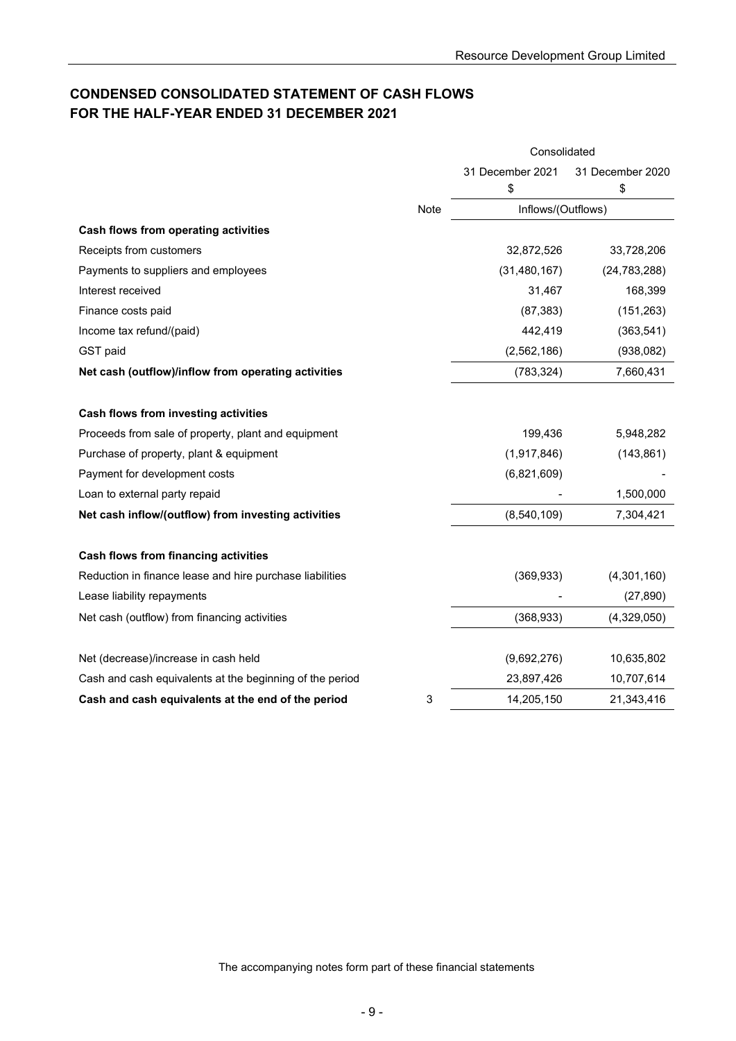# **CONDENSED CONSOLIDATED STATEMENT OF CASH FLOWS FOR THE HALF-YEAR ENDED 31 DECEMBER 2021**

|                                                          |      | Consolidated       |                  |  |  |
|----------------------------------------------------------|------|--------------------|------------------|--|--|
|                                                          |      | 31 December 2021   | 31 December 2020 |  |  |
|                                                          |      | \$                 | \$               |  |  |
|                                                          | Note | Inflows/(Outflows) |                  |  |  |
| Cash flows from operating activities                     |      |                    |                  |  |  |
| Receipts from customers                                  |      | 32,872,526         | 33,728,206       |  |  |
| Payments to suppliers and employees                      |      | (31, 480, 167)     | (24, 783, 288)   |  |  |
| Interest received                                        |      | 31,467             | 168,399          |  |  |
| Finance costs paid                                       |      | (87, 383)          | (151, 263)       |  |  |
| Income tax refund/(paid)                                 |      | 442,419            | (363, 541)       |  |  |
| GST paid                                                 |      | (2, 562, 186)      | (938,082)        |  |  |
| Net cash (outflow)/inflow from operating activities      |      | (783, 324)         | 7,660,431        |  |  |
| Cash flows from investing activities                     |      |                    |                  |  |  |
| Proceeds from sale of property, plant and equipment      |      | 199,436            | 5,948,282        |  |  |
| Purchase of property, plant & equipment                  |      | (1,917,846)        | (143, 861)       |  |  |
| Payment for development costs                            |      | (6,821,609)        |                  |  |  |
| Loan to external party repaid                            |      |                    | 1,500,000        |  |  |
| Net cash inflow/(outflow) from investing activities      |      | (8,540,109)        | 7,304,421        |  |  |
| Cash flows from financing activities                     |      |                    |                  |  |  |
| Reduction in finance lease and hire purchase liabilities |      | (369, 933)         | (4,301,160)      |  |  |
| Lease liability repayments                               |      |                    | (27, 890)        |  |  |
| Net cash (outflow) from financing activities             |      | (368, 933)         | (4,329,050)      |  |  |
|                                                          |      |                    |                  |  |  |
| Net (decrease)/increase in cash held                     |      | (9,692,276)        | 10,635,802       |  |  |
| Cash and cash equivalents at the beginning of the period |      | 23,897,426         | 10,707,614       |  |  |
| Cash and cash equivalents at the end of the period       | 3    | 14,205,150         | 21,343,416       |  |  |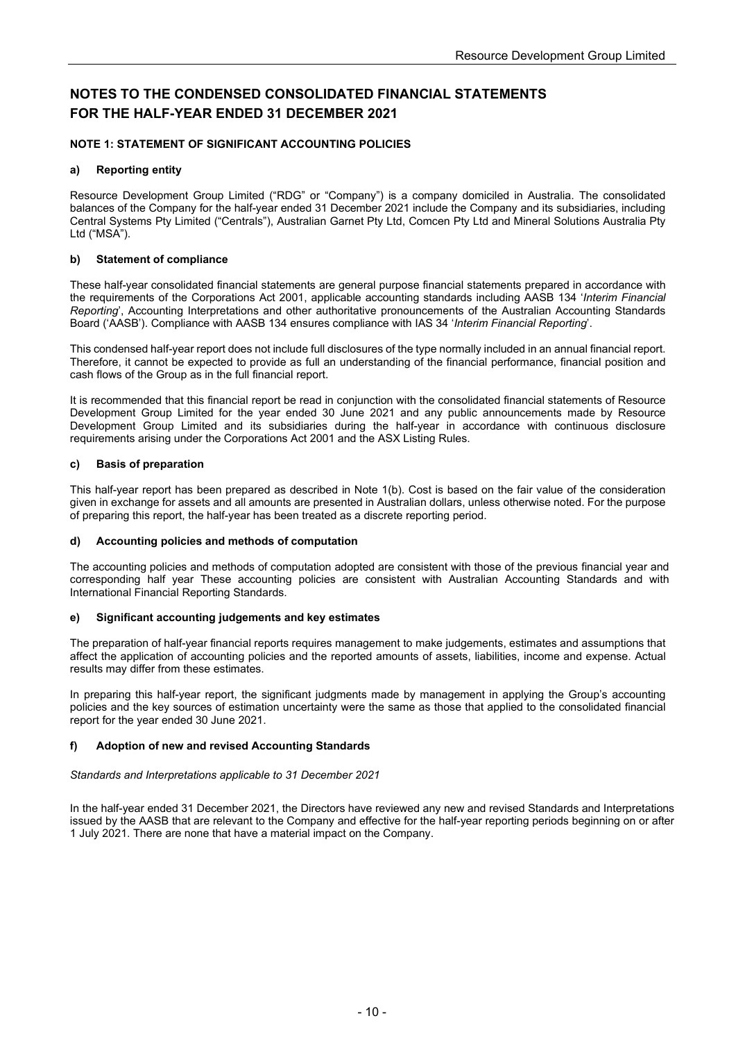### **NOTE 1: STATEMENT OF SIGNIFICANT ACCOUNTING POLICIES**

### **a) Reporting entity**

Resource Development Group Limited ("RDG" or "Company") is a company domiciled in Australia. The consolidated balances of the Company for the half-year ended 31 December 2021 include the Company and its subsidiaries, including Central Systems Pty Limited ("Centrals"), Australian Garnet Pty Ltd, Comcen Pty Ltd and Mineral Solutions Australia Pty Ltd ("MSA").

### **b) Statement of compliance**

These half-year consolidated financial statements are general purpose financial statements prepared in accordance with the requirements of the Corporations Act 2001, applicable accounting standards including AASB 134 '*Interim Financial Reporting*', Accounting Interpretations and other authoritative pronouncements of the Australian Accounting Standards Board ('AASB'). Compliance with AASB 134 ensures compliance with IAS 34 '*Interim Financial Reporting*'.

This condensed half-year report does not include full disclosures of the type normally included in an annual financial report. Therefore, it cannot be expected to provide as full an understanding of the financial performance, financial position and cash flows of the Group as in the full financial report.

It is recommended that this financial report be read in conjunction with the consolidated financial statements of Resource Development Group Limited for the year ended 30 June 2021 and any public announcements made by Resource Development Group Limited and its subsidiaries during the half-year in accordance with continuous disclosure requirements arising under the Corporations Act 2001 and the ASX Listing Rules.

### **c) Basis of preparation**

This half-year report has been prepared as described in Note 1(b). Cost is based on the fair value of the consideration given in exchange for assets and all amounts are presented in Australian dollars, unless otherwise noted. For the purpose of preparing this report, the half-year has been treated as a discrete reporting period.

### **d) Accounting policies and methods of computation**

The accounting policies and methods of computation adopted are consistent with those of the previous financial year and corresponding half year These accounting policies are consistent with Australian Accounting Standards and with International Financial Reporting Standards.

### **e) Significant accounting judgements and key estimates**

The preparation of half-year financial reports requires management to make judgements, estimates and assumptions that affect the application of accounting policies and the reported amounts of assets, liabilities, income and expense. Actual results may differ from these estimates.

In preparing this half-year report, the significant judgments made by management in applying the Group's accounting policies and the key sources of estimation uncertainty were the same as those that applied to the consolidated financial report for the year ended 30 June 2021.

### **f) Adoption of new and revised Accounting Standards**

### *Standards and Interpretations applicable to 31 December 2021*

In the half-year ended 31 December 2021, the Directors have reviewed any new and revised Standards and Interpretations issued by the AASB that are relevant to the Company and effective for the half-year reporting periods beginning on or after 1 July 2021. There are none that have a material impact on the Company.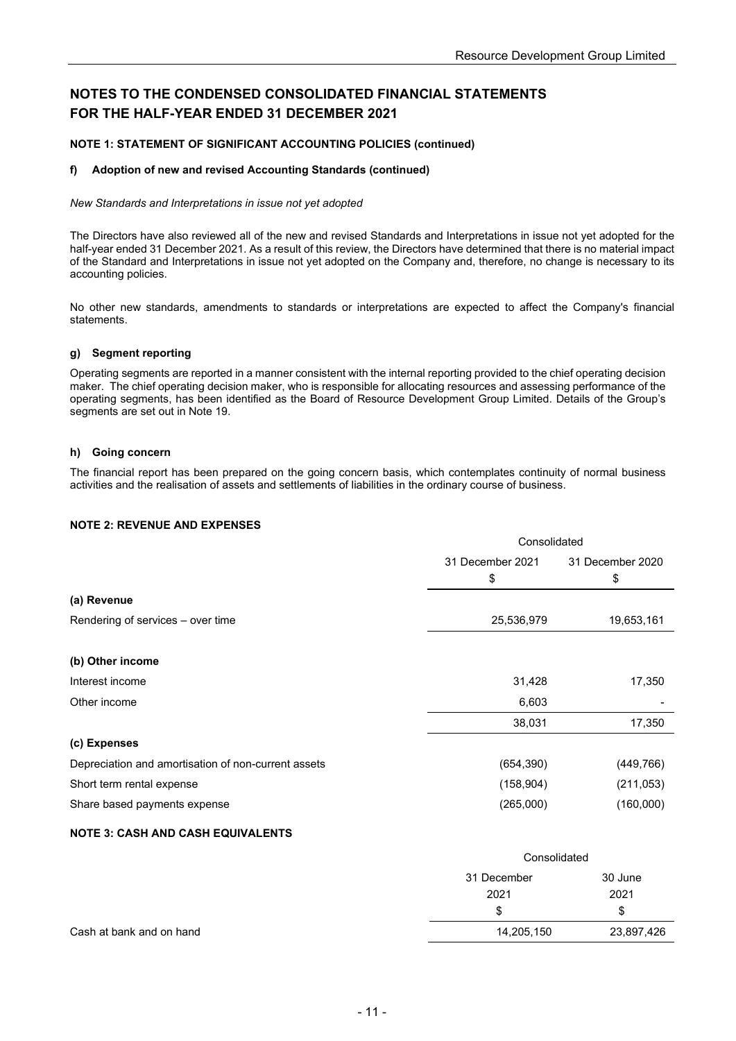### **NOTE 1: STATEMENT OF SIGNIFICANT ACCOUNTING POLICIES (continued)**

### **f) Adoption of new and revised Accounting Standards (continued)**

#### *New Standards and Interpretations in issue not yet adopted*

The Directors have also reviewed all of the new and revised Standards and Interpretations in issue not yet adopted for the half-year ended 31 December 2021. As a result of this review, the Directors have determined that there is no material impact of the Standard and Interpretations in issue not yet adopted on the Company and, therefore, no change is necessary to its accounting policies.

No other new standards, amendments to standards or interpretations are expected to affect the Company's financial statements.

### **g) Segment reporting**

Operating segments are reported in a manner consistent with the internal reporting provided to the chief operating decision maker. The chief operating decision maker, who is responsible for allocating resources and assessing performance of the operating segments, has been identified as the Board of Resource Development Group Limited. Details of the Group's segments are set out in Note 19.

#### **h) Going concern**

The financial report has been prepared on the going concern basis, which contemplates continuity of normal business activities and the realisation of assets and settlements of liabilities in the ordinary course of business.

### **NOTE 2: REVENUE AND EXPENSES**

|                                                     | Consolidated     |                  |  |
|-----------------------------------------------------|------------------|------------------|--|
|                                                     | 31 December 2021 | 31 December 2020 |  |
|                                                     | \$               | \$               |  |
| (a) Revenue                                         |                  |                  |  |
| Rendering of services – over time                   | 25,536,979       | 19,653,161       |  |
| (b) Other income                                    |                  |                  |  |
| Interest income                                     | 31,428           | 17,350           |  |
| Other income                                        | 6,603            |                  |  |
|                                                     | 38,031           | 17,350           |  |
| (c) Expenses                                        |                  |                  |  |
| Depreciation and amortisation of non-current assets | (654, 390)       | (449, 766)       |  |
| Short term rental expense                           | (158, 904)       | (211, 053)       |  |
| Share based payments expense                        | (265,000)        | (160,000)        |  |

### **NOTE 3: CASH AND CASH EQUIVALENTS**

|                          |             | Consolidated |  |  |
|--------------------------|-------------|--------------|--|--|
|                          | 31 December | 30 June      |  |  |
|                          | 2021        | 2021         |  |  |
|                          | S.          | \$           |  |  |
| Cash at bank and on hand | 14,205,150  | 23,897,426   |  |  |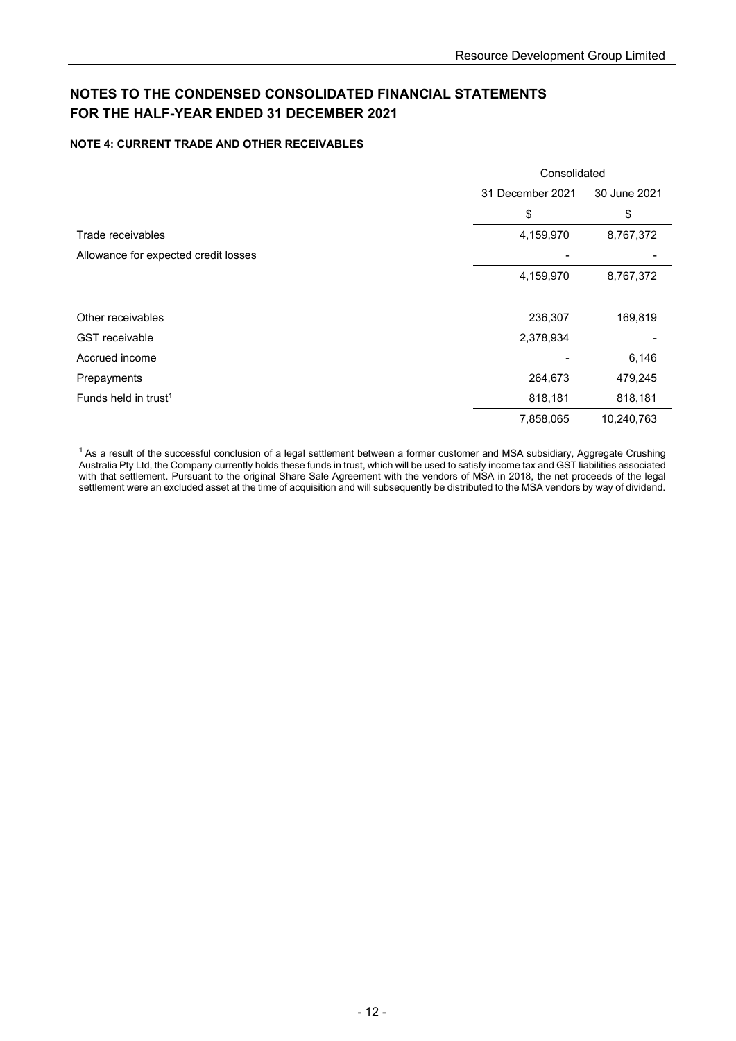### **NOTE 4: CURRENT TRADE AND OTHER RECEIVABLES**

|                                      |                  | Consolidated |  |  |
|--------------------------------------|------------------|--------------|--|--|
|                                      | 31 December 2021 | 30 June 2021 |  |  |
|                                      | \$               | \$           |  |  |
| Trade receivables                    | 4,159,970        | 8,767,372    |  |  |
| Allowance for expected credit losses |                  |              |  |  |
|                                      | 4,159,970        | 8,767,372    |  |  |
|                                      |                  |              |  |  |
| Other receivables                    | 236,307          | 169,819      |  |  |
| <b>GST</b> receivable                | 2,378,934        |              |  |  |
| Accrued income                       |                  | 6,146        |  |  |
| Prepayments                          | 264,673          | 479,245      |  |  |
| Funds held in trust <sup>1</sup>     | 818,181          | 818,181      |  |  |
|                                      | 7,858,065        | 10,240,763   |  |  |

 $^1$  As a result of the successful conclusion of a legal settlement between a former customer and MSA subsidiary, Aggregate Crushing Australia Pty Ltd, the Company currently holds these funds in trust, which will be used to satisfy income tax and GST liabilities associated with that settlement. Pursuant to the original Share Sale Agreement with the vendors of MSA in 2018, the net proceeds of the legal settlement were an excluded asset at the time of acquisition and will subsequently be distributed to the MSA vendors by way of dividend.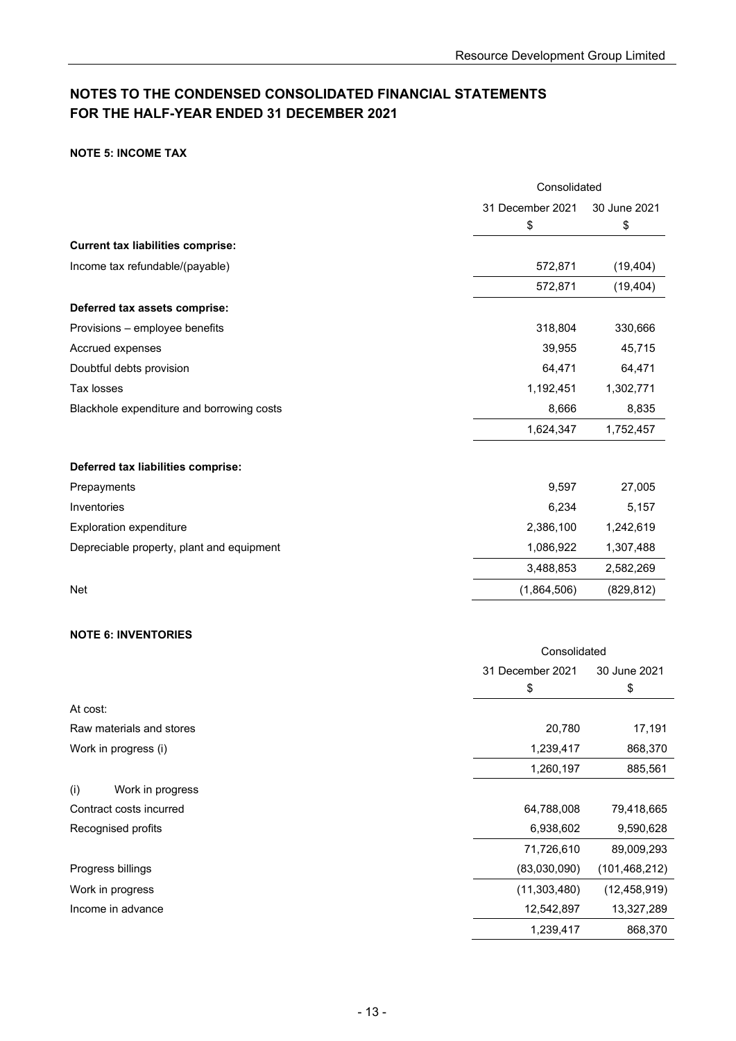# **NOTE 5: INCOME TAX**

|                                           | Consolidated     |              |  |  |
|-------------------------------------------|------------------|--------------|--|--|
|                                           | 31 December 2021 | 30 June 2021 |  |  |
|                                           | \$               | \$           |  |  |
| <b>Current tax liabilities comprise:</b>  |                  |              |  |  |
| Income tax refundable/(payable)           | 572,871          | (19, 404)    |  |  |
|                                           | 572,871          | (19, 404)    |  |  |
| Deferred tax assets comprise:             |                  |              |  |  |
| Provisions - employee benefits            | 318,804          | 330,666      |  |  |
| Accrued expenses                          | 39,955           | 45,715       |  |  |
| Doubtful debts provision                  | 64,471           | 64,471       |  |  |
| Tax losses                                | 1,192,451        | 1,302,771    |  |  |
| Blackhole expenditure and borrowing costs | 8,666            | 8,835        |  |  |
|                                           | 1,624,347        | 1,752,457    |  |  |
| Deferred tax liabilities comprise:        |                  |              |  |  |
| Prepayments                               | 9,597            | 27,005       |  |  |
| Inventories                               | 6,234            | 5,157        |  |  |
| <b>Exploration expenditure</b>            | 2,386,100        | 1,242,619    |  |  |
| Depreciable property, plant and equipment | 1,086,922        | 1,307,488    |  |  |
|                                           | 3,488,853        | 2,582,269    |  |  |
| Net                                       | (1,864,506)      | (829, 812)   |  |  |

### **NOTE 6: INVENTORIES**

|                          | Consolidated                     |                 |  |
|--------------------------|----------------------------------|-----------------|--|
|                          | 31 December 2021<br>30 June 2021 |                 |  |
|                          | \$                               | \$              |  |
| At cost:                 |                                  |                 |  |
| Raw materials and stores | 20,780                           | 17,191          |  |
| Work in progress (i)     | 1,239,417                        | 868,370         |  |
|                          | 1,260,197                        | 885,561         |  |
| (i)<br>Work in progress  |                                  |                 |  |
| Contract costs incurred  | 64,788,008                       | 79,418,665      |  |
| Recognised profits       | 6,938,602                        | 9,590,628       |  |
|                          | 71,726,610                       | 89,009,293      |  |
| Progress billings        | (83,030,090)                     | (101, 468, 212) |  |
| Work in progress         | (11, 303, 480)                   | (12, 458, 919)  |  |
| Income in advance        | 12,542,897                       | 13,327,289      |  |
|                          | 1,239,417                        | 868,370         |  |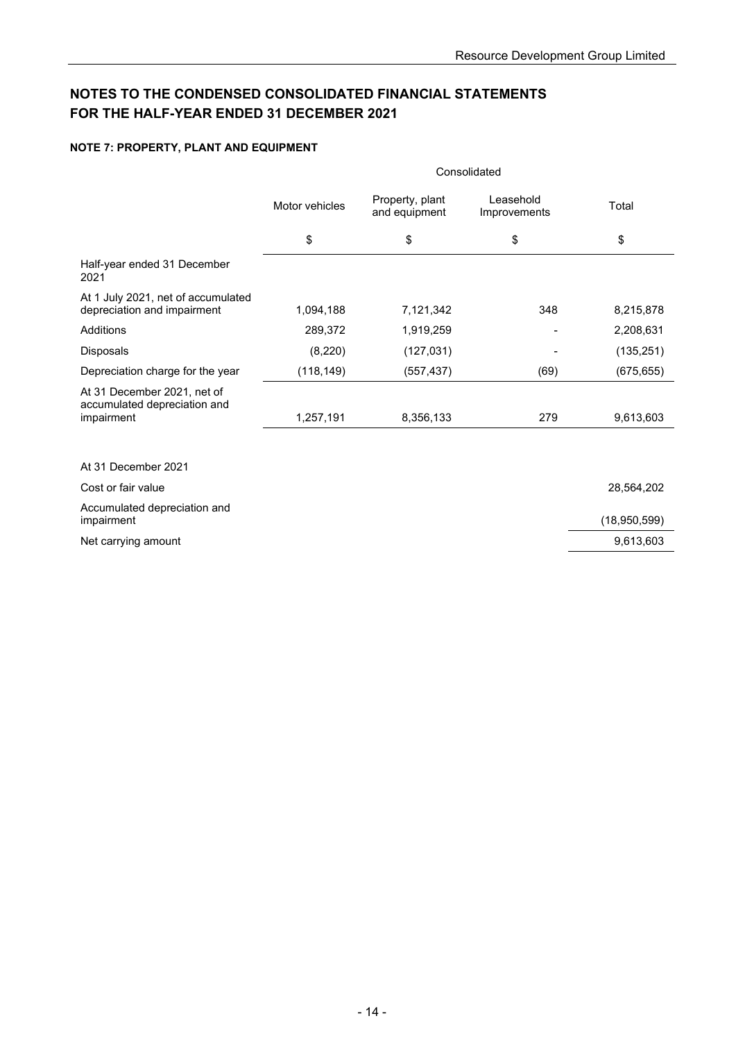# **NOTES TO THE CONDENSED CONSOLIDATED FINANCIAL STATEMENTS FOR THE HALF-YEAR ENDED 31 DECEMBER 2021**

### **NOTE 7: PROPERTY, PLANT AND EQUIPMENT**

|                                                                           | Consolidated                                                                    |            |       |            |
|---------------------------------------------------------------------------|---------------------------------------------------------------------------------|------------|-------|------------|
|                                                                           | Leasehold<br>Property, plant<br>Motor vehicles<br>and equipment<br>Improvements |            | Total |            |
|                                                                           | \$                                                                              | \$         | \$    | \$         |
| Half-year ended 31 December<br>2021                                       |                                                                                 |            |       |            |
| At 1 July 2021, net of accumulated<br>depreciation and impairment         | 1,094,188                                                                       | 7,121,342  | 348   | 8,215,878  |
| Additions                                                                 | 289,372                                                                         | 1,919,259  |       | 2,208,631  |
| <b>Disposals</b>                                                          | (8,220)                                                                         | (127, 031) |       | (135, 251) |
| Depreciation charge for the year                                          | (118, 149)                                                                      | (557, 437) | (69)  | (675, 655) |
| At 31 December 2021, net of<br>accumulated depreciation and<br>impairment | 1,257,191                                                                       | 8,356,133  | 279   | 9,613,603  |
|                                                                           |                                                                                 |            |       |            |

| At 31 December 2021                        |              |
|--------------------------------------------|--------------|
| Cost or fair value                         | 28,564,202   |
| Accumulated depreciation and<br>impairment | (18,950,599) |
| Net carrying amount                        | 9,613,603    |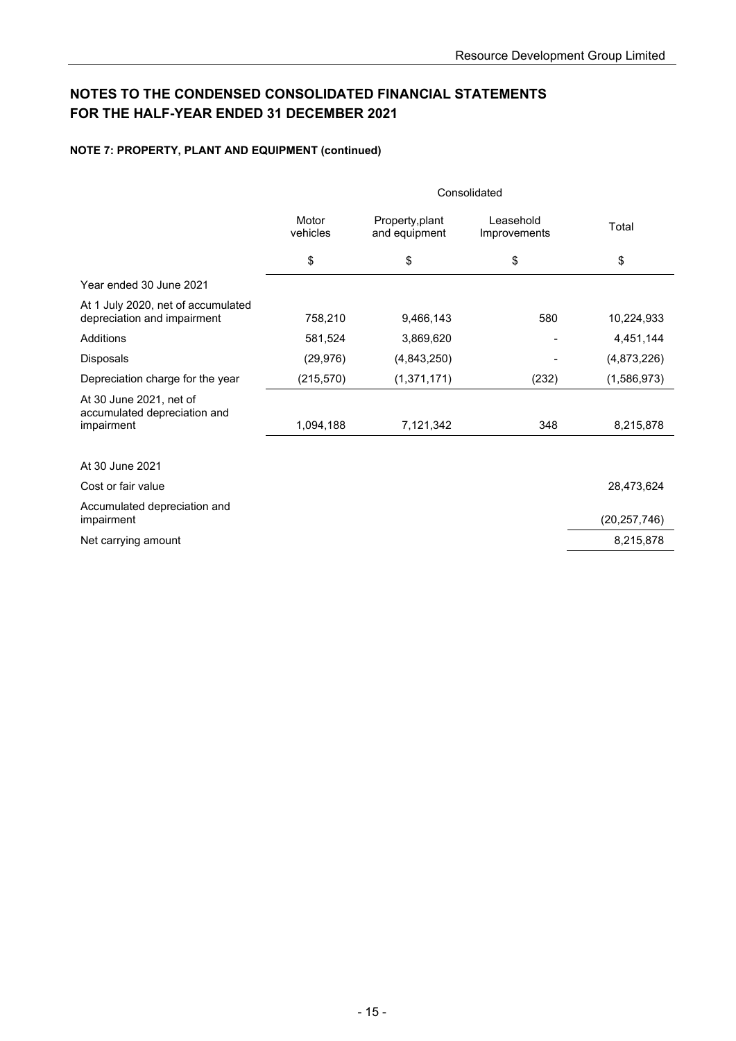### **NOTE 7: PROPERTY, PLANT AND EQUIPMENT (continued)**

|                                                                       | Consolidated      |                                  |                           |                |
|-----------------------------------------------------------------------|-------------------|----------------------------------|---------------------------|----------------|
|                                                                       | Motor<br>vehicles | Property, plant<br>and equipment | Leasehold<br>Improvements | Total          |
|                                                                       | \$                | \$                               | \$                        | \$             |
| Year ended 30 June 2021                                               |                   |                                  |                           |                |
| At 1 July 2020, net of accumulated<br>depreciation and impairment     | 758,210           | 9,466,143                        | 580                       | 10,224,933     |
| Additions                                                             | 581,524           | 3,869,620                        |                           | 4,451,144      |
| Disposals                                                             | (29, 976)         | (4,843,250)                      |                           | (4,873,226)    |
| Depreciation charge for the year                                      | (215, 570)        | (1,371,171)                      | (232)                     | (1,586,973)    |
| At 30 June 2021, net of<br>accumulated depreciation and<br>impairment | 1,094,188         | 7,121,342                        | 348                       | 8,215,878      |
| At 30 June 2021                                                       |                   |                                  |                           |                |
| Cost or fair value                                                    |                   |                                  |                           | 28,473,624     |
| Accumulated depreciation and<br>impairment                            |                   |                                  |                           | (20, 257, 746) |
| Net carrying amount                                                   |                   |                                  |                           | 8,215,878      |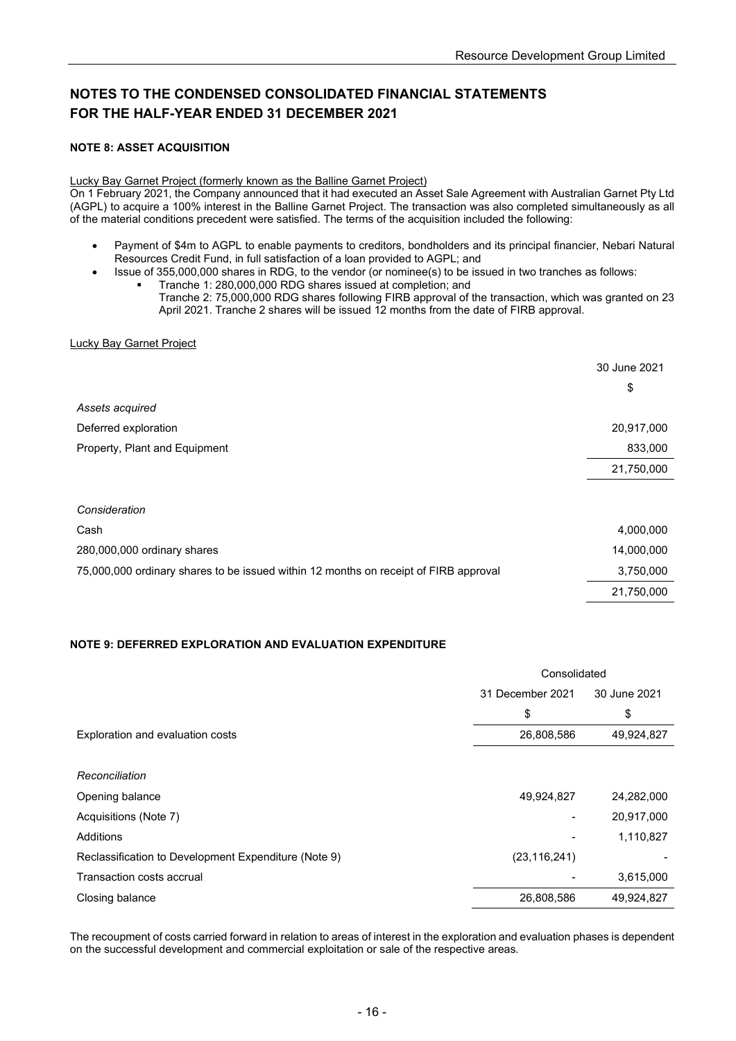### **NOTE 8: ASSET ACQUISITION**

### Lucky Bay Garnet Project (formerly known as the Balline Garnet Project)

On 1 February 2021, the Company announced that it had executed an Asset Sale Agreement with Australian Garnet Pty Ltd (AGPL) to acquire a 100% interest in the Balline Garnet Project. The transaction was also completed simultaneously as all of the material conditions precedent were satisfied. The terms of the acquisition included the following:

- Payment of \$4m to AGPL to enable payments to creditors, bondholders and its principal financier, Nebari Natural Resources Credit Fund, in full satisfaction of a loan provided to AGPL; and
- Issue of 355,000,000 shares in RDG, to the vendor (or nominee(s) to be issued in two tranches as follows:
	- Tranche 1: 280,000,000 RDG shares issued at completion; and Tranche 2: 75,000,000 RDG shares following FIRB approval of the transaction, which was granted on 23 April 2021. Tranche 2 shares will be issued 12 months from the date of FIRB approval.

Lucky Bay Garnet Project

|                                                                                      | 30 June 2021 |
|--------------------------------------------------------------------------------------|--------------|
|                                                                                      | \$           |
| Assets acquired                                                                      |              |
| Deferred exploration                                                                 | 20,917,000   |
| Property, Plant and Equipment                                                        | 833,000      |
|                                                                                      | 21,750,000   |
|                                                                                      |              |
| Consideration                                                                        |              |
| Cash                                                                                 | 4,000,000    |
| 280,000,000 ordinary shares                                                          | 14,000,000   |
| 75,000,000 ordinary shares to be issued within 12 months on receipt of FIRB approval | 3,750,000    |
|                                                                                      | 21,750,000   |

### **NOTE 9: DEFERRED EXPLORATION AND EVALUATION EXPENDITURE**

|                                                      | Consolidated     |              |
|------------------------------------------------------|------------------|--------------|
|                                                      | 31 December 2021 | 30 June 2021 |
|                                                      | \$               | \$           |
| Exploration and evaluation costs                     | 26,808,586       | 49,924,827   |
|                                                      |                  |              |
| Reconciliation                                       |                  |              |
| Opening balance                                      | 49,924,827       | 24,282,000   |
| Acquisitions (Note 7)                                |                  | 20,917,000   |
| Additions                                            |                  | 1,110,827    |
| Reclassification to Development Expenditure (Note 9) | (23, 116, 241)   |              |
| Transaction costs accrual                            |                  | 3,615,000    |
| Closing balance                                      | 26,808,586       | 49,924,827   |

The recoupment of costs carried forward in relation to areas of interest in the exploration and evaluation phases is dependent on the successful development and commercial exploitation or sale of the respective areas.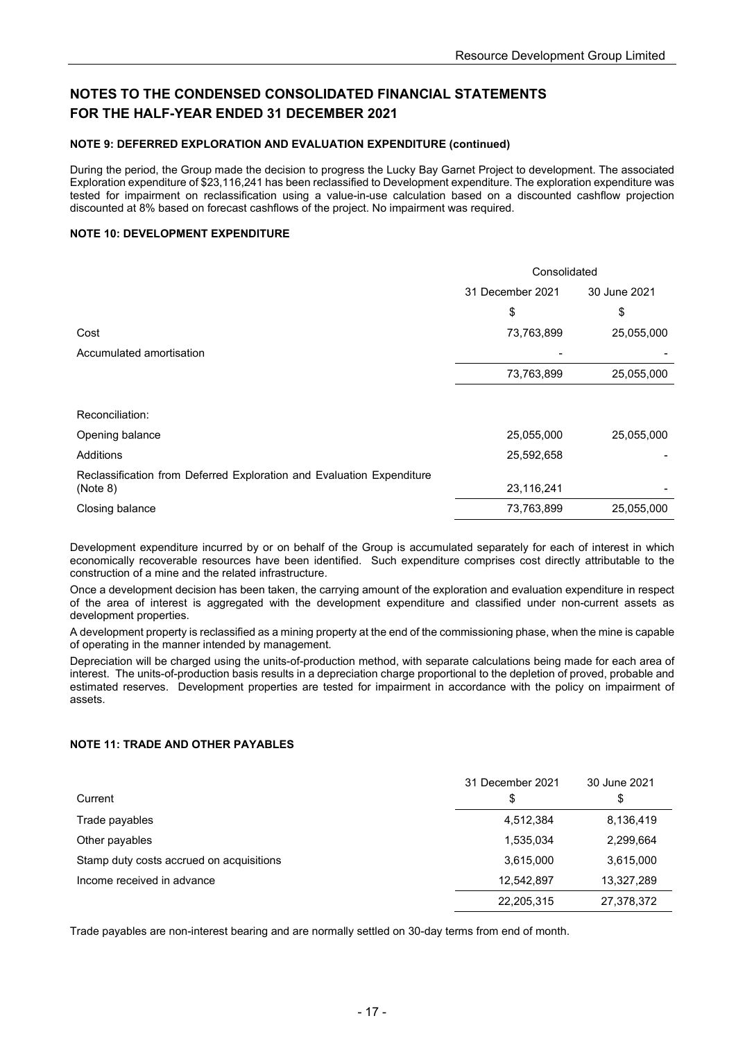### **NOTE 9: DEFERRED EXPLORATION AND EVALUATION EXPENDITURE (continued)**

During the period, the Group made the decision to progress the Lucky Bay Garnet Project to development. The associated Exploration expenditure of \$23,116,241 has been reclassified to Development expenditure. The exploration expenditure was tested for impairment on reclassification using a value-in-use calculation based on a discounted cashflow projection discounted at 8% based on forecast cashflows of the project. No impairment was required.

### **NOTE 10: DEVELOPMENT EXPENDITURE**

|                                                                                   | Consolidated     |              |
|-----------------------------------------------------------------------------------|------------------|--------------|
|                                                                                   | 31 December 2021 | 30 June 2021 |
|                                                                                   | \$               | \$           |
| Cost                                                                              | 73,763,899       | 25,055,000   |
| Accumulated amortisation                                                          |                  |              |
|                                                                                   | 73,763,899       | 25,055,000   |
|                                                                                   |                  |              |
| Reconciliation:                                                                   |                  |              |
| Opening balance                                                                   | 25,055,000       | 25,055,000   |
| Additions                                                                         | 25,592,658       |              |
| Reclassification from Deferred Exploration and Evaluation Expenditure<br>(Note 8) | 23,116,241       |              |
| Closing balance                                                                   | 73,763,899       | 25,055,000   |

Development expenditure incurred by or on behalf of the Group is accumulated separately for each of interest in which economically recoverable resources have been identified. Such expenditure comprises cost directly attributable to the construction of a mine and the related infrastructure.

Once a development decision has been taken, the carrying amount of the exploration and evaluation expenditure in respect of the area of interest is aggregated with the development expenditure and classified under non-current assets as development properties.

A development property is reclassified as a mining property at the end of the commissioning phase, when the mine is capable of operating in the manner intended by management.

Depreciation will be charged using the units-of-production method, with separate calculations being made for each area of interest. The units-of-production basis results in a depreciation charge proportional to the depletion of proved, probable and estimated reserves. Development properties are tested for impairment in accordance with the policy on impairment of assets.

### **NOTE 11: TRADE AND OTHER PAYABLES**

|                                          | 31 December 2021 | 30 June 2021 |
|------------------------------------------|------------------|--------------|
| Current                                  | \$               | \$           |
| Trade payables                           | 4,512,384        | 8,136,419    |
| Other payables                           | 1,535,034        | 2,299,664    |
| Stamp duty costs accrued on acquisitions | 3,615,000        | 3,615,000    |
| Income received in advance               | 12,542,897       | 13,327,289   |
|                                          | 22,205,315       | 27,378,372   |

Trade payables are non-interest bearing and are normally settled on 30-day terms from end of month.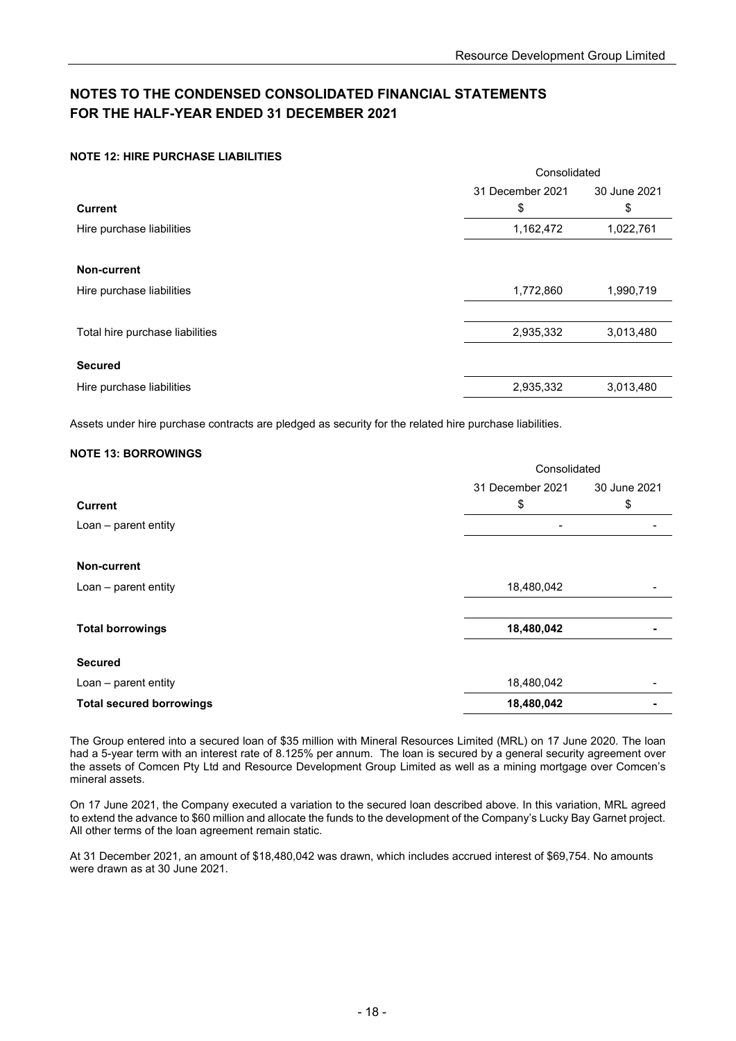### **NOTE 12: HIRE PURCHASE LIABILITIES**

|                                 | Consolidated     |              |  |
|---------------------------------|------------------|--------------|--|
|                                 | 31 December 2021 | 30 June 2021 |  |
| <b>Current</b>                  | \$               | \$           |  |
| Hire purchase liabilities       | 1,162,472        | 1,022,761    |  |
|                                 |                  |              |  |
| Non-current                     |                  |              |  |
| Hire purchase liabilities       | 1,772,860        | 1,990,719    |  |
|                                 |                  |              |  |
| Total hire purchase liabilities | 2,935,332        | 3,013,480    |  |
|                                 |                  |              |  |
| <b>Secured</b>                  |                  |              |  |
| Hire purchase liabilities       | 2,935,332        | 3,013,480    |  |

Assets under hire purchase contracts are pledged as security for the related hire purchase liabilities.

### **NOTE 13: BORROWINGS**

|                                 | Consolidated     |              |  |
|---------------------------------|------------------|--------------|--|
|                                 | 31 December 2021 | 30 June 2021 |  |
| <b>Current</b>                  | \$               | \$           |  |
| Loan - parent entity            |                  |              |  |
|                                 |                  |              |  |
| Non-current                     |                  |              |  |
| Loan - parent entity            | 18,480,042       |              |  |
|                                 |                  |              |  |
| <b>Total borrowings</b>         | 18,480,042       |              |  |
|                                 |                  |              |  |
| <b>Secured</b>                  |                  |              |  |
| Loan - parent entity            | 18,480,042       |              |  |
| <b>Total secured borrowings</b> | 18,480,042       |              |  |

The Group entered into a secured loan of \$35 million with Mineral Resources Limited (MRL) on 17 June 2020. The loan had a 5-year term with an interest rate of 8.125% per annum. The loan is secured by a general security agreement over the assets of Comcen Pty Ltd and Resource Development Group Limited as well as a mining mortgage over Comcen's mineral assets.

On 17 June 2021, the Company executed a variation to the secured loan described above. In this variation, MRL agreed to extend the advance to \$60 million and allocate the funds to the development of the Company's Lucky Bay Garnet project. All other terms of the loan agreement remain static.

At 31 December 2021, an amount of \$18,480,042 was drawn, which includes accrued interest of \$69,754. No amounts were drawn as at 30 June 2021.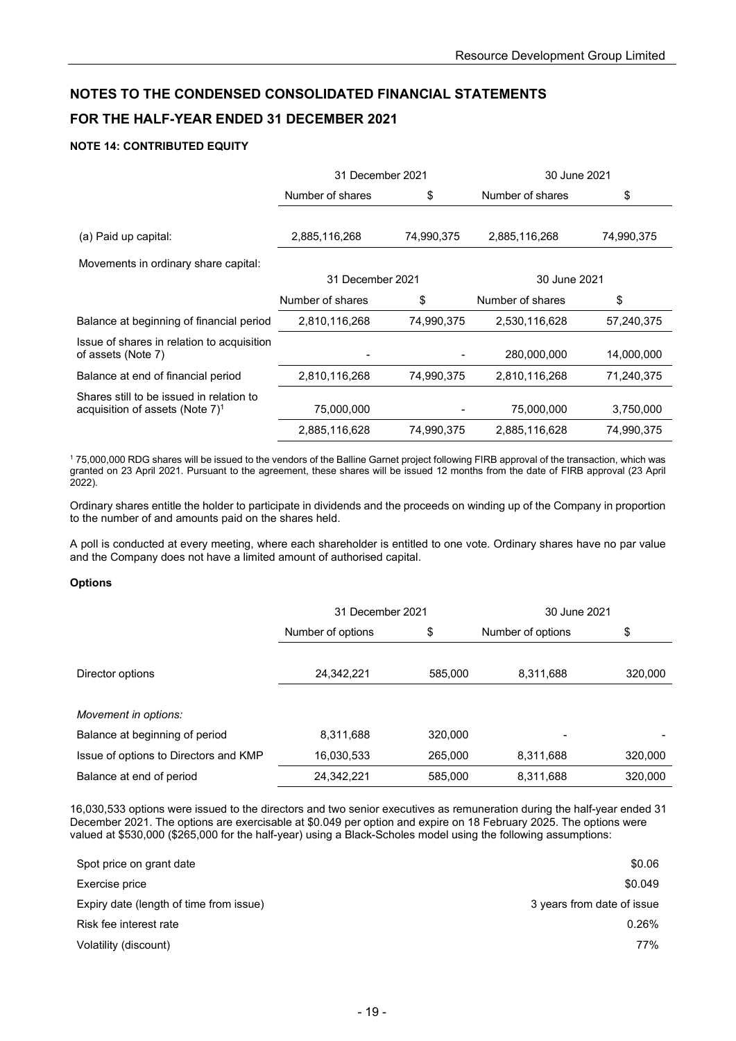### **NOTE 14: CONTRIBUTED EQUITY**

|                                            | 31 December 2021 |            | 30 June 2021     |            |
|--------------------------------------------|------------------|------------|------------------|------------|
|                                            | Number of shares | \$         | Number of shares | \$         |
|                                            |                  |            |                  |            |
| (a) Paid up capital:                       | 2,885,116,268    | 74,990,375 | 2,885,116,268    | 74,990,375 |
| Movements in ordinary share capital:       |                  |            |                  |            |
|                                            | 31 December 2021 |            | 30 June 2021     |            |
|                                            | Number of shares | \$         | Number of shares | \$         |
| Balance at beginning of financial period   | 2,810,116,268    | 74,990,375 | 2,530,116,628    | 57,240,375 |
| Issue of shares in relation to acquisition |                  |            |                  |            |
| of assets (Note 7)                         |                  |            | 280,000,000      | 14,000,000 |
| Balance at end of financial period         | 2,810,116,268    | 74,990,375 | 2,810,116,268    | 71,240,375 |
| Shares still to be issued in relation to   |                  |            |                  |            |
| acquisition of assets (Note $7)^1$         | 75,000,000       |            | 75,000,000       | 3,750,000  |
|                                            | 2,885,116,628    | 74,990,375 | 2,885,116,628    | 74,990,375 |

<sup>1</sup> 75,000,000 RDG shares will be issued to the vendors of the Balline Garnet project following FIRB approval of the transaction, which was granted on 23 April 2021. Pursuant to the agreement, these shares will be issued 12 months from the date of FIRB approval (23 April 2022).

Ordinary shares entitle the holder to participate in dividends and the proceeds on winding up of the Company in proportion to the number of and amounts paid on the shares held.

A poll is conducted at every meeting, where each shareholder is entitled to one vote. Ordinary shares have no par value and the Company does not have a limited amount of authorised capital.

### **Options**

|                                       | 31 December 2021  |         | 30 June 2021      |         |
|---------------------------------------|-------------------|---------|-------------------|---------|
|                                       | Number of options | \$      | Number of options | \$      |
| Director options                      | 24,342,221        | 585,000 | 8,311,688         | 320,000 |
| Movement in options:                  |                   |         |                   |         |
| Balance at beginning of period        | 8,311,688         | 320,000 |                   |         |
| Issue of options to Directors and KMP | 16,030,533        | 265,000 | 8,311,688         | 320,000 |
| Balance at end of period              | 24,342,221        | 585,000 | 8,311,688         | 320,000 |

16,030,533 options were issued to the directors and two senior executives as remuneration during the half-year ended 31 December 2021. The options are exercisable at \$0.049 per option and expire on 18 February 2025. The options were valued at \$530,000 (\$265,000 for the half-year) using a Black-Scholes model using the following assumptions:

| Spot price on grant date                | \$0.06                     |
|-----------------------------------------|----------------------------|
| Exercise price                          | \$0.049                    |
| Expiry date (length of time from issue) | 3 years from date of issue |
| Risk fee interest rate                  | 0.26%                      |
| Volatility (discount)                   | 77%                        |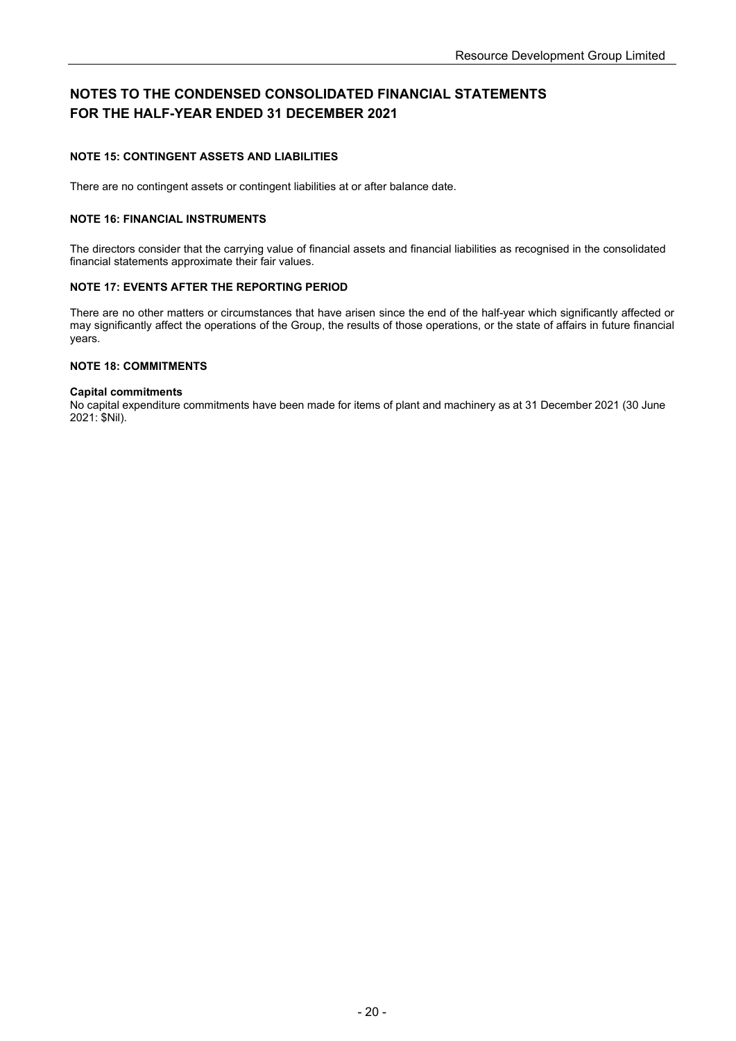### **NOTE 15: CONTINGENT ASSETS AND LIABILITIES**

There are no contingent assets or contingent liabilities at or after balance date.

### **NOTE 16: FINANCIAL INSTRUMENTS**

The directors consider that the carrying value of financial assets and financial liabilities as recognised in the consolidated financial statements approximate their fair values.

#### **NOTE 17: EVENTS AFTER THE REPORTING PERIOD**

There are no other matters or circumstances that have arisen since the end of the half-year which significantly affected or may significantly affect the operations of the Group, the results of those operations, or the state of affairs in future financial years.

### **NOTE 18: COMMITMENTS**

#### **Capital commitments**

No capital expenditure commitments have been made for items of plant and machinery as at 31 December 2021 (30 June 2021: \$Nil).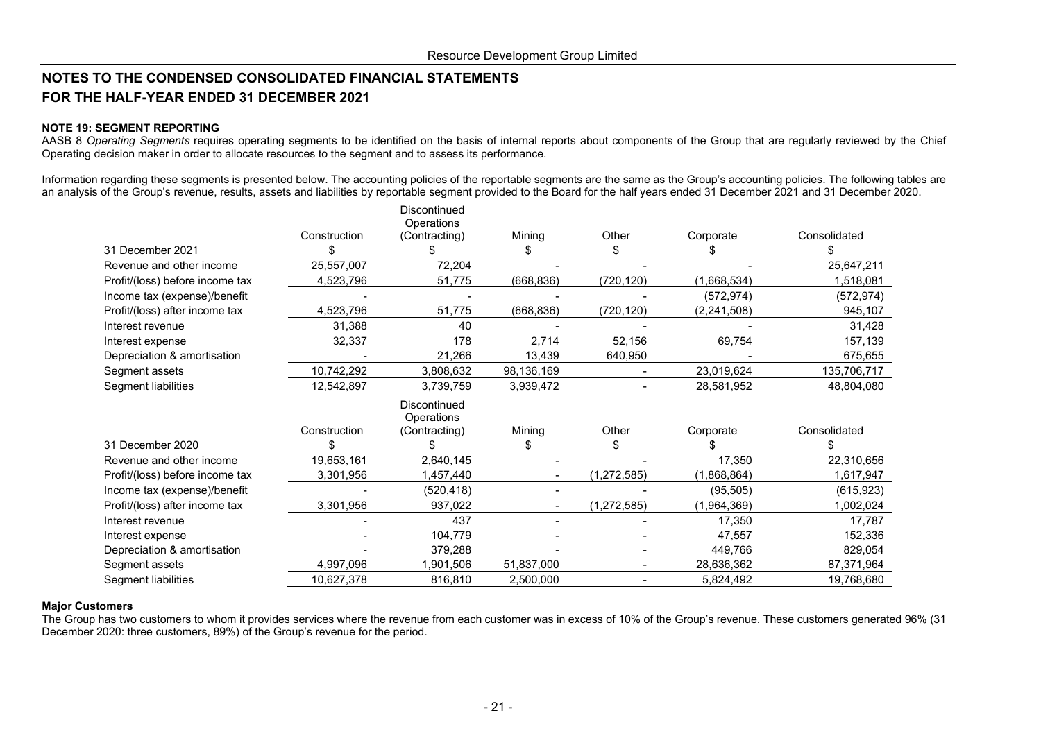#### **NOTE 19: SEGMENT REPORTING**

AASB 8 *Operating Segments* requires operating segments to be identified on the basis of internal reports about components of the Group that are regularly reviewed by the Chief Operating decision maker in order to allocate resources to the segment and to assess its performance.

Information regarding these segments is presented below. The accounting policies of the reportable segments are the same as the Group's accounting policies. The following tables are an analysis of the Group's revenue, results, assets and liabilities by reportable segment provided to the Board for the half years ended 31 December 2021 and 31 December 2020.

|                                 |              | Discontinued<br>Operations |            |                          |               |              |
|---------------------------------|--------------|----------------------------|------------|--------------------------|---------------|--------------|
|                                 | Construction | (Contracting)              | Mining     | Other                    | Corporate     | Consolidated |
| 31 December 2021                |              |                            | \$         | \$                       |               |              |
| Revenue and other income        | 25,557,007   | 72,204                     |            |                          |               | 25,647,211   |
| Profit/(loss) before income tax | 4,523,796    | 51,775                     | (668, 836) | (720, 120)               | (1,668,534)   | 1,518,081    |
| Income tax (expense)/benefit    |              |                            |            |                          | (572, 974)    | (572, 974)   |
| Profit/(loss) after income tax  | 4,523,796    | 51,775                     | (668, 836) | (720, 120)               | (2, 241, 508) | 945,107      |
| Interest revenue                | 31,388       | 40                         |            |                          |               | 31,428       |
| Interest expense                | 32,337       | 178                        | 2,714      | 52,156                   | 69,754        | 157,139      |
| Depreciation & amortisation     |              | 21,266                     | 13,439     | 640,950                  |               | 675,655      |
| Segment assets                  | 10,742,292   | 3,808,632                  | 98,136,169 | $\overline{\phantom{a}}$ | 23,019,624    | 135,706,717  |
| Segment liabilities             | 12,542,897   | 3,739,759                  | 3,939,472  |                          | 28,581,952    | 48,804,080   |
|                                 |              | Discontinued<br>Operations |            |                          |               |              |
|                                 | Construction | (Contracting)              | Mining     | Other                    | Corporate     | Consolidated |
| 31 December 2020                |              |                            | \$         | \$                       |               |              |
| Revenue and other income        | 19,653,161   | 2,640,145                  |            |                          | 17,350        | 22,310,656   |
| Profit/(loss) before income tax | 3,301,956    | 1,457,440                  |            | (1, 272, 585)            | (1,868,864)   | 1,617,947    |
| Income tax (expense)/benefit    |              | (520,418)                  |            |                          | (95, 505)     | (615, 923)   |
| Profit/(loss) after income tax  | 3,301,956    | 937,022                    |            | (1, 272, 585)            | (1,964,369)   | 1,002,024    |
| Interest revenue                |              | 437                        |            |                          | 17,350        | 17,787       |
| Interest expense                |              | 104,779                    |            |                          | 47,557        | 152,336      |
| Depreciation & amortisation     |              | 379,288                    |            |                          | 449,766       | 829,054      |
| Segment assets                  | 4,997,096    | 1,901,506                  | 51,837,000 |                          | 28,636,362    | 87,371,964   |
| Segment liabilities             | 10,627,378   | 816,810                    | 2,500,000  |                          | 5,824,492     | 19,768,680   |

#### **Major Customers**

The Group has two customers to whom it provides services where the revenue from each customer was in excess of 10% of the Group's revenue. These customers generated 96% (31 December 2020: three customers, 89%) of the Group's revenue for the period.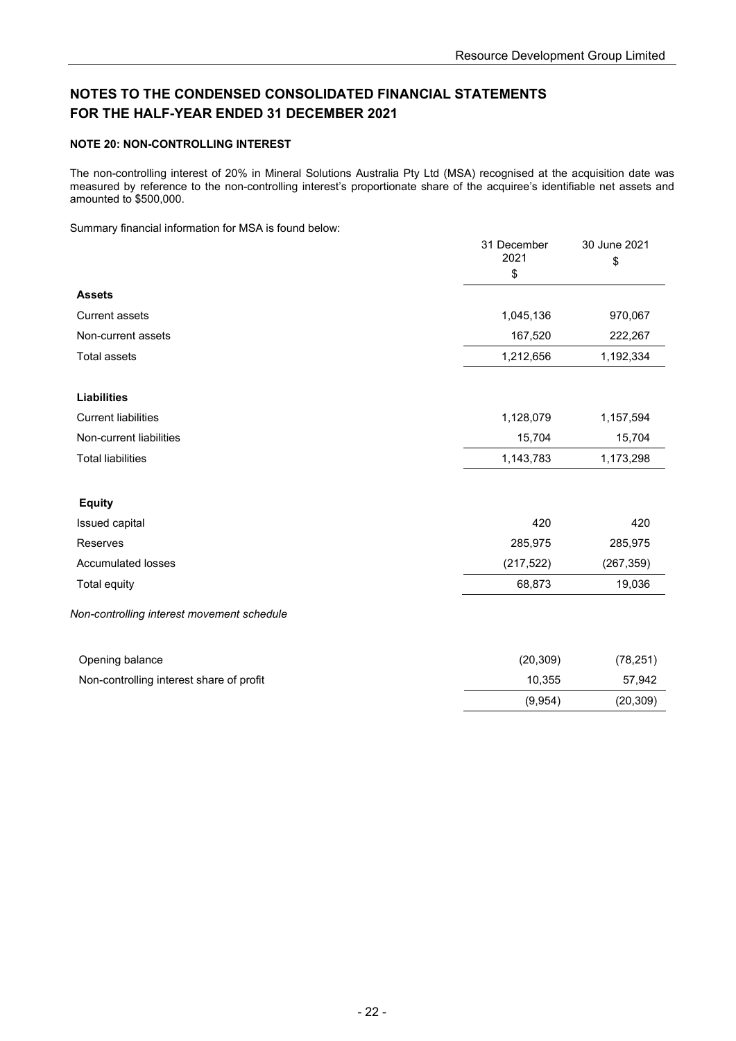### **NOTE 20: NON-CONTROLLING INTEREST**

The non-controlling interest of 20% in Mineral Solutions Australia Pty Ltd (MSA) recognised at the acquisition date was measured by reference to the non-controlling interest's proportionate share of the acquiree's identifiable net assets and amounted to \$500,000.

Summary financial information for MSA is found below:

|                                            | 31 December<br>2021<br>\$ | 30 June 2021<br>\$ |
|--------------------------------------------|---------------------------|--------------------|
| <b>Assets</b>                              |                           |                    |
| <b>Current assets</b>                      | 1,045,136                 | 970,067            |
| Non-current assets                         | 167,520                   | 222,267            |
| <b>Total assets</b>                        | 1,212,656                 | 1,192,334          |
| <b>Liabilities</b>                         |                           |                    |
| <b>Current liabilities</b>                 | 1,128,079                 | 1,157,594          |
| Non-current liabilities                    | 15,704                    | 15,704             |
| <b>Total liabilities</b>                   | 1,143,783                 | 1,173,298          |
| <b>Equity</b>                              |                           |                    |
| Issued capital                             | 420                       | 420                |
| Reserves                                   | 285,975                   | 285,975            |
| <b>Accumulated losses</b>                  | (217, 522)                | (267, 359)         |
| Total equity                               | 68,873                    | 19,036             |
| Non-controlling interest movement schedule |                           |                    |
| Opening balance                            | (20, 309)                 | (78, 251)          |
| Non-controlling interest share of profit   | 10,355                    | 57,942             |
|                                            | (9,954)                   | (20, 309)          |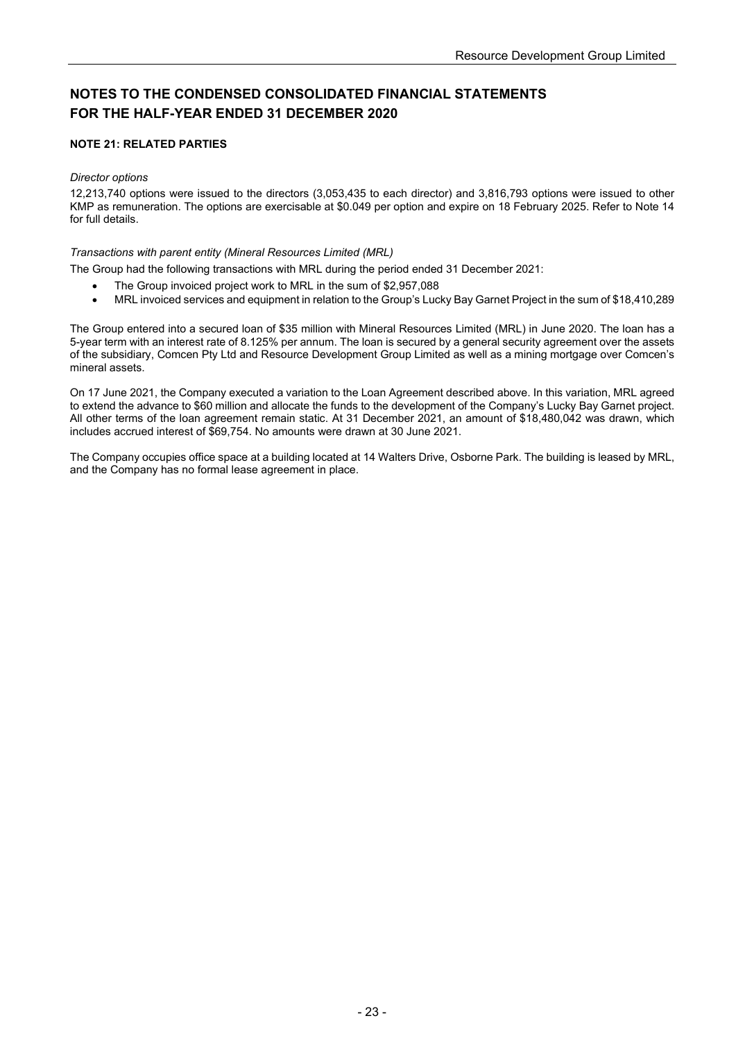### **NOTE 21: RELATED PARTIES**

#### *Director options*

12,213,740 options were issued to the directors (3,053,435 to each director) and 3,816,793 options were issued to other KMP as remuneration. The options are exercisable at \$0.049 per option and expire on 18 February 2025. Refer to Note 14 for full details.

#### *Transactions with parent entity (Mineral Resources Limited (MRL)*

The Group had the following transactions with MRL during the period ended 31 December 2021:

- The Group invoiced project work to MRL in the sum of \$2,957,088
- MRL invoiced services and equipment in relation to the Group's Lucky Bay Garnet Project in the sum of \$18,410,289

The Group entered into a secured loan of \$35 million with Mineral Resources Limited (MRL) in June 2020. The loan has a 5-year term with an interest rate of 8.125% per annum. The loan is secured by a general security agreement over the assets of the subsidiary, Comcen Pty Ltd and Resource Development Group Limited as well as a mining mortgage over Comcen's mineral assets.

On 17 June 2021, the Company executed a variation to the Loan Agreement described above. In this variation, MRL agreed to extend the advance to \$60 million and allocate the funds to the development of the Company's Lucky Bay Garnet project. All other terms of the loan agreement remain static. At 31 December 2021, an amount of \$18,480,042 was drawn, which includes accrued interest of \$69,754. No amounts were drawn at 30 June 2021.

The Company occupies office space at a building located at 14 Walters Drive, Osborne Park. The building is leased by MRL, and the Company has no formal lease agreement in place.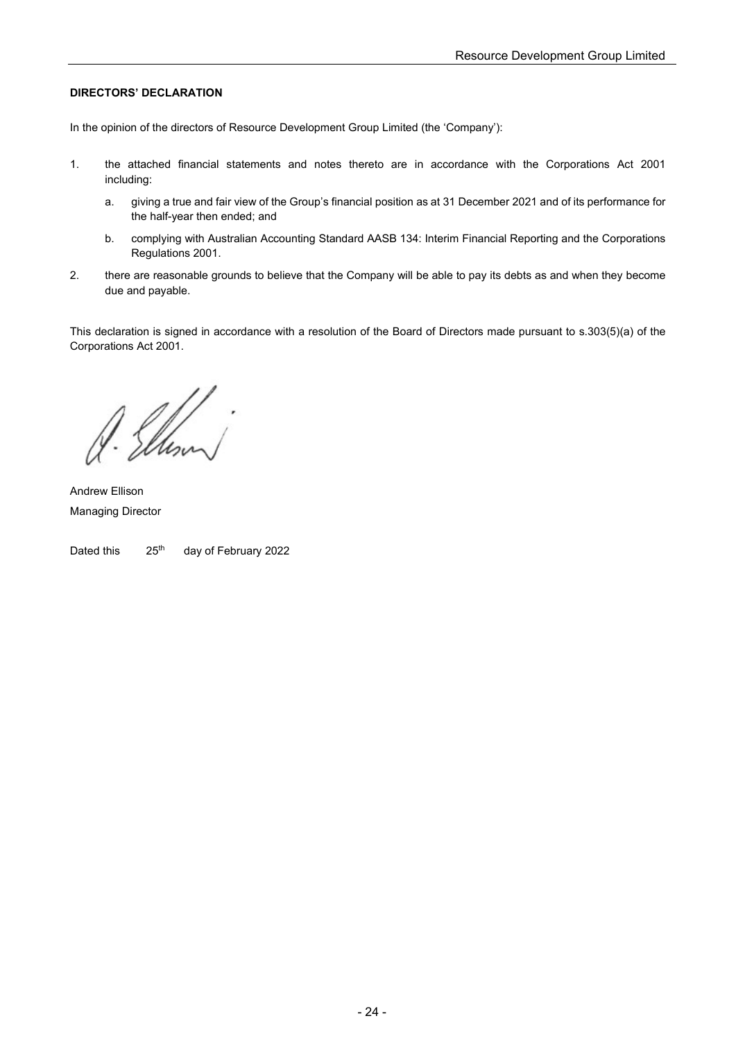### **DIRECTORS' DECLARATION**

In the opinion of the directors of Resource Development Group Limited (the 'Company'):

- 1. the attached financial statements and notes thereto are in accordance with the Corporations Act 2001 including:
	- a. giving a true and fair view of the Group's financial position as at 31 December 2021 and of its performance for the half-year then ended; and
	- b. complying with Australian Accounting Standard AASB 134: Interim Financial Reporting and the Corporations Regulations 2001.
- 2. there are reasonable grounds to believe that the Company will be able to pay its debts as and when they become due and payable.

This declaration is signed in accordance with a resolution of the Board of Directors made pursuant to s.303(5)(a) of the Corporations Act 2001.

Ellen

Andrew Ellison Managing Director

Dated this  $25<sup>th</sup>$  day of February 2022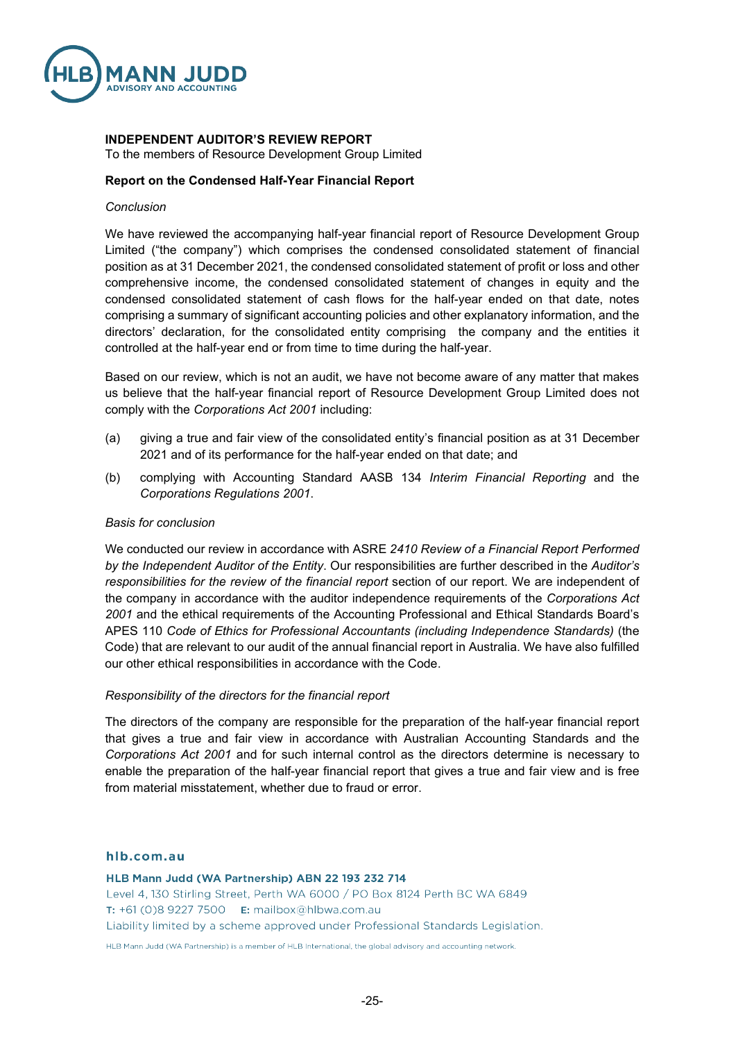

### **INDEPENDENT AUDITOR'S REVIEW REPORT**

To the members of Resource Development Group Limited

### **Report on the Condensed Half-Year Financial Report**

### *Conclusion*

We have reviewed the accompanying half-year financial report of Resource Development Group Limited ("the company") which comprises the condensed consolidated statement of financial position as at 31 December 2021, the condensed consolidated statement of profit or loss and other comprehensive income, the condensed consolidated statement of changes in equity and the condensed consolidated statement of cash flows for the half-year ended on that date, notes comprising a summary of significant accounting policies and other explanatory information, and the directors' declaration, for the consolidated entity comprising the company and the entities it controlled at the half-year end or from time to time during the half-year.

Based on our review, which is not an audit, we have not become aware of any matter that makes us believe that the half-year financial report of Resource Development Group Limited does not comply with the *Corporations Act 2001* including:

- (a) giving a true and fair view of the consolidated entity's financial position as at 31 December 2021 and of its performance for the half-year ended on that date; and
- (b) complying with Accounting Standard AASB 134 *Interim Financial Reporting* and the *Corporations Regulations 2001*.

### *Basis for conclusion*

We conducted our review in accordance with ASRE *2410 Review of a Financial Report Performed by the Independent Auditor of the Entity*. Our responsibilities are further described in the *Auditor's responsibilities for the review of the financial report* section of our report. We are independent of the company in accordance with the auditor independence requirements of the *Corporations Act 2001* and the ethical requirements of the Accounting Professional and Ethical Standards Board's APES 110 *Code of Ethics for Professional Accountants (including Independence Standards)* (the Code) that are relevant to our audit of the annual financial report in Australia. We have also fulfilled our other ethical responsibilities in accordance with the Code.

### *Responsibility of the directors for the financial report*

The directors of the company are responsible for the preparation of the half-year financial report that gives a true and fair view in accordance with Australian Accounting Standards and the *Corporations Act 2001* and for such internal control as the directors determine is necessary to enable the preparation of the half-year financial report that gives a true and fair view and is free from material misstatement, whether due to fraud or error.

#### hlb.com.au

HLB Mann Judd (WA Partnership) ABN 22 193 232 714 Level 4, 130 Stirling Street, Perth WA 6000 / PO Box 8124 Perth BC WA 6849 T: +61 (0)8 9227 7500 E: mailbox@hlbwa.com.au Liability limited by a scheme approved under Professional Standards Legislation. HLB Mann Judd (WA Partnership) is a member of HLB International, the global advisory and accounting network